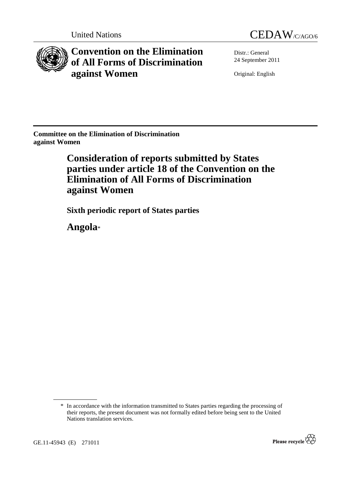



**Convention on the Elimination of All Forms of Discrimination against Women** 

Distr.: General 24 September 2011

Original: English

**Committee on the Elimination of Discrimination against Women** 

> **Consideration of reports submitted by States parties under article 18 of the Convention on the Elimination of All Forms of Discrimination against Women**

 **Sixth periodic report of States parties** 

 **Angola**\*



<sup>\*</sup> In accordance with the information transmitted to States parties regarding the processing of their reports, the present document was not formally edited before being sent to the United Nations translation services.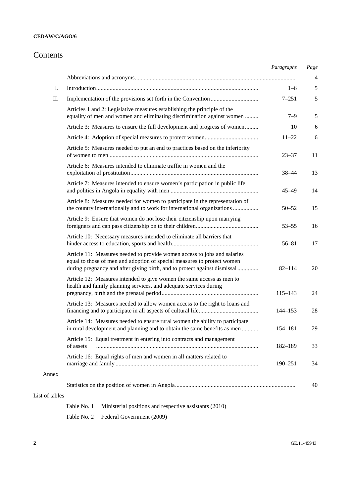## Contents

|                |                                                                                                                                                                                                                                  | Paragraphs  | Page           |
|----------------|----------------------------------------------------------------------------------------------------------------------------------------------------------------------------------------------------------------------------------|-------------|----------------|
|                |                                                                                                                                                                                                                                  |             | $\overline{4}$ |
| Ι.             |                                                                                                                                                                                                                                  | $1 - 6$     | 5              |
| П.             |                                                                                                                                                                                                                                  | $7 - 251$   | 5              |
|                | Articles 1 and 2: Legislative measures establishing the principle of the<br>equality of men and women and eliminating discrimination against women                                                                               | $7 - 9$     | 5              |
|                | Article 3: Measures to ensure the full development and progress of women                                                                                                                                                         | 10          | 6              |
|                |                                                                                                                                                                                                                                  | $11 - 22$   | 6              |
|                | Article 5: Measures needed to put an end to practices based on the inferiority                                                                                                                                                   | $23 - 37$   | 11             |
|                | Article 6: Measures intended to eliminate traffic in women and the                                                                                                                                                               | $38 - 44$   | 13             |
|                | Article 7: Measures intended to ensure women's participation in public life                                                                                                                                                      | $45 - 49$   | 14             |
|                | Article 8: Measures needed for women to participate in the representation of<br>the country internationally and to work for international organizations                                                                          | $50 - 52$   | 15             |
|                | Article 9: Ensure that women do not lose their citizenship upon marrying                                                                                                                                                         | $53 - 55$   | 16             |
|                | Article 10: Necessary measures intended to eliminate all barriers that                                                                                                                                                           | $56 - 81$   | 17             |
|                | Article 11: Measures needed to provide women access to jobs and salaries<br>equal to those of men and adoption of special measures to protect women<br>during pregnancy and after giving birth, and to protect against dismissal | $82 - 114$  | 20             |
|                | Article 12: Measures intended to give women the same access as men to<br>health and family planning services, and adequate services during                                                                                       | $115 - 143$ | 24             |
|                | Article 13: Measures needed to allow women access to the right to loans and                                                                                                                                                      | 144–153     | 28             |
|                | Article 14: Measures needed to ensure rural women the ability to participate<br>in rural development and planning and to obtain the same benefits as men                                                                         | 154-181     | 29             |
|                | Article 15: Equal treatment in entering into contracts and management<br>of assets                                                                                                                                               | 182-189     | 33             |
|                | Article 16: Equal rights of men and women in all matters related to                                                                                                                                                              | $190 - 251$ | 34             |
| Annex          |                                                                                                                                                                                                                                  |             |                |
|                |                                                                                                                                                                                                                                  |             | 40             |
| List of tables |                                                                                                                                                                                                                                  |             |                |

Table No. 1 Ministerial positions and respective assistants (2010) Table No. 2 Federal Government (2009)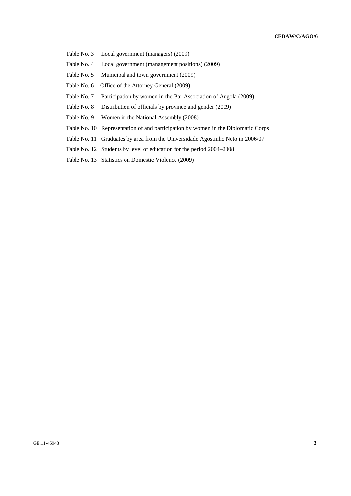Table No. 3 Local government (managers) (2009)

- Table No. 4 Local government (management positions) (2009)
- Table No. 5 Municipal and town government (2009)
- Table No. 6 Office of the Attorney General (2009)
- Table No. 7 Participation by women in the Bar Association of Angola (2009)
- Table No. 8 Distribution of officials by province and gender (2009)
- Table No. 9 Women in the National Assembly (2008)
- Table No. 10 Representation of and participation by women in the Diplomatic Corps
- Table No. 11 Graduates by area from the Universidade Agostinho Neto in 2006/07
- Table No. 12 Students by level of education for the period 2004–2008
- Table No. 13 Statistics on Domestic Violence (2009)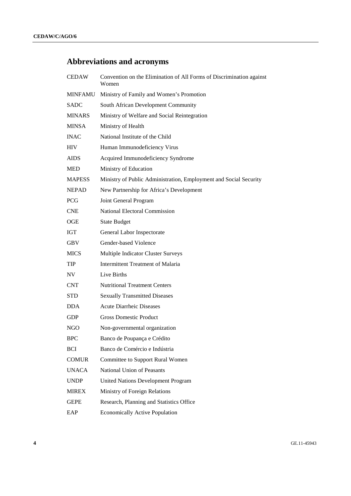## **Abbreviations and acronyms**

| <b>CEDAW</b>   | Convention on the Elimination of All Forms of Discrimination against<br>Women |
|----------------|-------------------------------------------------------------------------------|
| <b>MINFAMU</b> | Ministry of Family and Women's Promotion                                      |
| <b>SADC</b>    | South African Development Community                                           |
| <b>MINARS</b>  | Ministry of Welfare and Social Reintegration                                  |
| <b>MINSA</b>   | Ministry of Health                                                            |
| <b>INAC</b>    | National Institute of the Child                                               |
| <b>HIV</b>     | Human Immunodeficiency Virus                                                  |
| <b>AIDS</b>    | Acquired Immunodeficiency Syndrome                                            |
| <b>MED</b>     | Ministry of Education                                                         |
| <b>MAPESS</b>  | Ministry of Public Administration, Employment and Social Security             |
| <b>NEPAD</b>   | New Partnership for Africa's Development                                      |
| <b>PCG</b>     | Joint General Program                                                         |
| <b>CNE</b>     | National Electoral Commission                                                 |
| OGE            | <b>State Budget</b>                                                           |
| <b>IGT</b>     | General Labor Inspectorate                                                    |
| <b>GBV</b>     | Gender-based Violence                                                         |
| <b>MICS</b>    | Multiple Indicator Cluster Surveys                                            |
| TIP            | <b>Intermittent Treatment of Malaria</b>                                      |
| NV             | Live Births                                                                   |
| <b>CNT</b>     | <b>Nutritional Treatment Centers</b>                                          |
| <b>STD</b>     | <b>Sexually Transmitted Diseases</b>                                          |
| <b>DDA</b>     | <b>Acute Diarrheic Diseases</b>                                               |
| <b>GDP</b>     | <b>Gross Domestic Product</b>                                                 |
| NGO            | Non-governmental organization                                                 |
| <b>BPC</b>     | Banco de Poupança e Crédito                                                   |
| <b>BCI</b>     | Banco de Comércio e Indústria                                                 |
| <b>COMUR</b>   | Committee to Support Rural Women                                              |
| <b>UNACA</b>   | National Union of Peasants                                                    |
| <b>UNDP</b>    | <b>United Nations Development Program</b>                                     |
| <b>MIREX</b>   | Ministry of Foreign Relations                                                 |
| <b>GEPE</b>    | Research, Planning and Statistics Office                                      |
| EAP            | <b>Economically Active Population</b>                                         |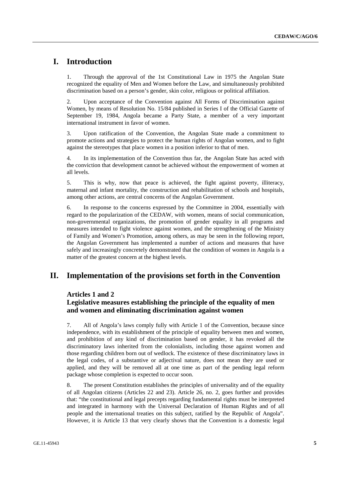## **I. Introduction**

1. Through the approval of the 1st Constitutional Law in 1975 the Angolan State recognized the equality of Men and Women before the Law, and simultaneously prohibited discrimination based on a person's gender, skin color, religious or political affiliation.

2. Upon acceptance of the Convention against All Forms of Discrimination against Women, by means of Resolution No. 15/84 published in Series I of the Official Gazette of September 19, 1984, Angola became a Party State, a member of a very important international instrument in favor of women.

3. Upon ratification of the Convention, the Angolan State made a commitment to promote actions and strategies to protect the human rights of Angolan women, and to fight against the stereotypes that place women in a position inferior to that of men.

4. In its implementation of the Convention thus far, the Angolan State has acted with the conviction that development cannot be achieved without the empowerment of women at all levels.

5. This is why, now that peace is achieved, the fight against poverty, illiteracy, maternal and infant mortality, the construction and rehabilitation of schools and hospitals, among other actions, are central concerns of the Angolan Government.

6. In response to the concerns expressed by the Committee in 2004, essentially with regard to the popularization of the CEDAW, with women, means of social communication, non-governmental organizations, the promotion of gender equality in all programs and measures intended to fight violence against women, and the strengthening of the Ministry of Family and Women's Promotion, among others, as may be seen in the following report, the Angolan Government has implemented a number of actions and measures that have safely and increasingly concretely demonstrated that the condition of women in Angola is a matter of the greatest concern at the highest levels.

## **II. Implementation of the provisions set forth in the Convention**

#### **Articles 1 and 2**

## **Legislative measures establishing the principle of the equality of men and women and eliminating discrimination against women**

7. All of Angola's laws comply fully with Article 1 of the Convention, because since independence, with its establishment of the principle of equality between men and women, and prohibition of any kind of discrimination based on gender, it has revoked all the discriminatory laws inherited from the colonialists, including those against women and those regarding children born out of wedlock. The existence of these discriminatory laws in the legal codes, of a substantive or adjectival nature, does not mean they are used or applied, and they will be removed all at one time as part of the pending legal reform package whose completion is expected to occur soon.

8. The present Constitution establishes the principles of universality and of the equality of all Angolan citizens (Articles 22 and 23). Article 26, no. 2, goes further and provides that: "the constitutional and legal precepts regarding fundamental rights must be interpreted and integrated in harmony with the Universal Declaration of Human Rights and of all people and the international treaties on this subject, ratified by the Republic of Angola". However, it is Article 13 that very clearly shows that the Convention is a domestic legal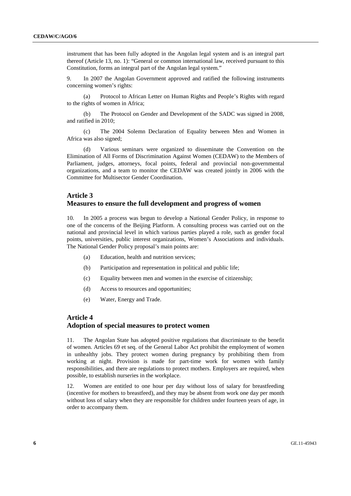instrument that has been fully adopted in the Angolan legal system and is an integral part thereof (Article 13, no. 1): "General or common international law, received pursuant to this Constitution, forms an integral part of the Angolan legal system."

9. In 2007 the Angolan Government approved and ratified the following instruments concerning women's rights:

 (a) Protocol to African Letter on Human Rights and People's Rights with regard to the rights of women in Africa;

 (b) The Protocol on Gender and Development of the SADC was signed in 2008, and ratified in 2010;

 (c) The 2004 Solemn Declaration of Equality between Men and Women in Africa was also signed;

 (d) Various seminars were organized to disseminate the Convention on the Elimination of All Forms of Discrimination Against Women (CEDAW) to the Members of Parliament, judges, attorneys, focal points, federal and provincial non-governmental organizations, and a team to monitor the CEDAW was created jointly in 2006 with the Committee for Multisector Gender Coordination.

## **Article 3 Measures to ensure the full development and progress of women**

10. In 2005 a process was begun to develop a National Gender Policy, in response to one of the concerns of the Beijing Platform. A consulting process was carried out on the national and provincial level in which various parties played a role, such as gender focal points, universities, public interest organizations, Women's Associations and individuals. The National Gender Policy proposal's main points are:

- (a) Education, health and nutrition services;
- (b) Participation and representation in political and public life;
- (c) Equality between men and women in the exercise of citizenship;
- (d) Access to resources and opportunities;
- (e) Water, Energy and Trade.

#### **Article 4**

### **Adoption of special measures to protect women**

11. The Angolan State has adopted positive regulations that discriminate to the benefit of women. Articles 69 et seq. of the General Labor Act prohibit the employment of women in unhealthy jobs. They protect women during pregnancy by prohibiting them from working at night. Provision is made for part-time work for women with family responsibilities, and there are regulations to protect mothers. Employers are required, when possible, to establish nurseries in the workplace.

12. Women are entitled to one hour per day without loss of salary for breastfeeding (incentive for mothers to breastfeed), and they may be absent from work one day per month without loss of salary when they are responsible for children under fourteen years of age, in order to accompany them.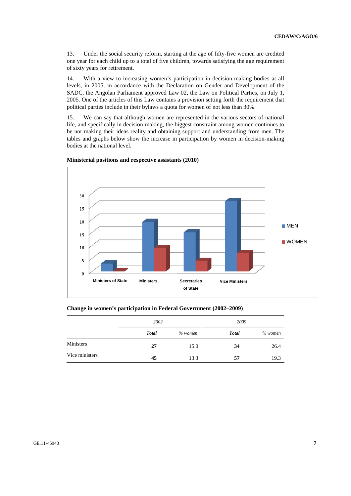13. Under the social security reform, starting at the age of fifty-five women are credited one year for each child up to a total of five children, towards satisfying the age requirement of sixty years for retirement.

14. With a view to increasing women's participation in decision-making bodies at all levels, in 2005, in accordance with the Declaration on Gender and Development of the SADC, the Angolan Parliament approved Law 02, the Law on Political Parties, on July 1, 2005. One of the articles of this Law contains a provision setting forth the requirement that political parties include in their bylaws a quota for women of not less than 30%.

15. We can say that although women are represented in the various sectors of national life, and specifically in decision-making, the biggest constraint among women continues to be not making their ideas reality and obtaining support and understanding from men. The tables and graphs below show the increase in participation by women in decision-making bodies at the national level.



#### **Ministerial positions and respective assistants (2010)**

|  | Change in women's participation in Federal Government (2002–2009) |
|--|-------------------------------------------------------------------|
|  |                                                                   |

|                | 2002         |         | 2009         |           |  |
|----------------|--------------|---------|--------------|-----------|--|
|                | <b>Total</b> | % women | <b>Total</b> | $%$ women |  |
| Ministers      | 27           | 15.0    | 34           | 26.4      |  |
| Vice ministers | 45           | 13.3    | 57           | 19.3      |  |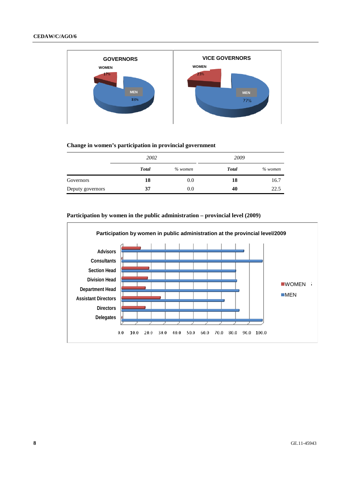

#### **Change in women's participation in provincial government**

|                  | 2002         |           | 2009         |           |
|------------------|--------------|-----------|--------------|-----------|
|                  | <b>Total</b> | $%$ women | <b>Total</b> | $%$ women |
| Governors        | 18           | 0.0       | 18           | 16.7      |
| Deputy governors | 37           | 0.0       | 40           | 22.5      |



#### **Participation by women in the public administration – provincial level (2009)**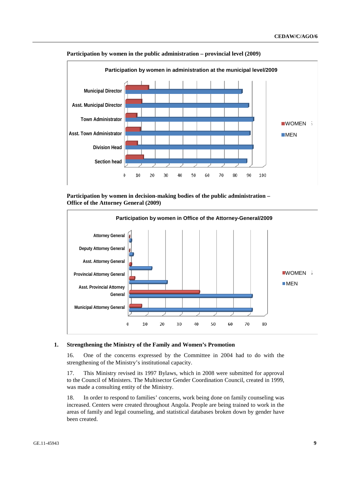

#### **Participation by women in the public administration – provincial level (2009)**

 **Participation by women in decision-making bodies of the public administration – Office of the Attorney General (2009)** 



#### **1. Strengthening the Ministry of the Family and Women's Promotion**

16. One of the concerns expressed by the Committee in 2004 had to do with the strengthening of the Ministry's institutional capacity.

17. This Ministry revised its 1997 Bylaws, which in 2008 were submitted for approval to the Council of Ministers. The Multisector Gender Coordination Council, created in 1999, was made a consulting entity of the Ministry.

18. In order to respond to families' concerns, work being done on family counseling was increased. Centers were created throughout Angola. People are being trained to work in the areas of family and legal counseling, and statistical databases broken down by gender have been created.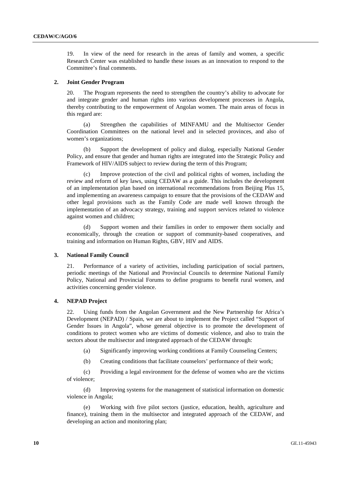19. In view of the need for research in the areas of family and women, a specific Research Center was established to handle these issues as an innovation to respond to the Committee's final comments.

#### **2. Joint Gender Program**

20. The Program represents the need to strengthen the country's ability to advocate for and integrate gender and human rights into various development processes in Angola, thereby contributing to the empowerment of Angolan women. The main areas of focus in this regard are:

 (a) Strengthen the capabilities of MINFAMU and the Multisector Gender Coordination Committees on the national level and in selected provinces, and also of women's organizations;

 (b) Support the development of policy and dialog, especially National Gender Policy, and ensure that gender and human rights are integrated into the Strategic Policy and Framework of HIV/AIDS subject to review during the term of this Program;

 (c) Improve protection of the civil and political rights of women, including the review and reform of key laws, using CEDAW as a guide. This includes the development of an implementation plan based on international recommendations from Beijing Plus 15, and implementing an awareness campaign to ensure that the provisions of the CEDAW and other legal provisions such as the Family Code are made well known through the implementation of an advocacy strategy, training and support services related to violence against women and children;

 (d) Support women and their families in order to empower them socially and economically, through the creation or support of community-based cooperatives, and training and information on Human Rights, GBV, HIV and AIDS.

#### **3. National Family Council**

21. Performance of a variety of activities, including participation of social partners, periodic meetings of the National and Provincial Councils to determine National Family Policy, National and Provincial Forums to define programs to benefit rural women, and activities concerning gender violence.

#### **4. NEPAD Project**

22. Using funds from the Angolan Government and the New Partnership for Africa's Development (NEPAD) / Spain, we are about to implement the Project called "Support of Gender Issues in Angola", whose general objective is to promote the development of conditions to protect women who are victims of domestic violence, and also to train the sectors about the multisector and integrated approach of the CEDAW through:

- (a) Significantly improving working conditions at Family Counseling Centers;
- (b) Creating conditions that facilitate counselors' performance of their work;

 (c) Providing a legal environment for the defense of women who are the victims of violence;

 (d) Improving systems for the management of statistical information on domestic violence in Angola;

 (e) Working with five pilot sectors (justice, education, health, agriculture and finance), training them in the multisector and integrated approach of the CEDAW, and developing an action and monitoring plan;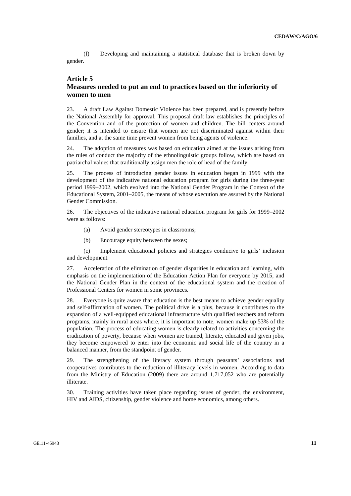(f) Developing and maintaining a statistical database that is broken down by gender.

### **Article 5**

## **Measures needed to put an end to practices based on the inferiority of women to men**

23. A draft Law Against Domestic Violence has been prepared, and is presently before the National Assembly for approval. This proposal draft law establishes the principles of the Convention and of the protection of women and children. The bill centers around gender; it is intended to ensure that women are not discriminated against within their families, and at the same time prevent women from being agents of violence.

24. The adoption of measures was based on education aimed at the issues arising from the rules of conduct the majority of the ethnolinguistic groups follow, which are based on patriarchal values that traditionally assign men the role of head of the family.

25. The process of introducing gender issues in education began in 1999 with the development of the indicative national education program for girls during the three-year period 1999–2002, which evolved into the National Gender Program in the Context of the Educational System, 2001–2005, the means of whose execution are assured by the National Gender Commission.

26. The objectives of the indicative national education program for girls for 1999–2002 were as follows:

- (a) Avoid gender stereotypes in classrooms;
- (b) Encourage equity between the sexes;

 (c) Implement educational policies and strategies conducive to girls' inclusion and development.

27. Acceleration of the elimination of gender disparities in education and learning, with emphasis on the implementation of the Education Action Plan for everyone by 2015, and the National Gender Plan in the context of the educational system and the creation of Professional Centers for women in some provinces.

28. Everyone is quite aware that education is the best means to achieve gender equality and self-affirmation of women. The political drive is a plus, because it contributes to the expansion of a well-equipped educational infrastructure with qualified teachers and reform programs, mainly in rural areas where, it is important to note, women make up 53% of the population. The process of educating women is clearly related to activities concerning the eradication of poverty, because when women are trained, literate, educated and given jobs, they become empowered to enter into the economic and social life of the country in a balanced manner, from the standpoint of gender.

29. The strengthening of the literacy system through peasants' associations and cooperatives contributes to the reduction of illiteracy levels in women. According to data from the Ministry of Education (2009) there are around 1,717,052 who are potentially illiterate.

30. Training activities have taken place regarding issues of gender, the environment, HIV and AIDS, citizenship, gender violence and home economics, among others.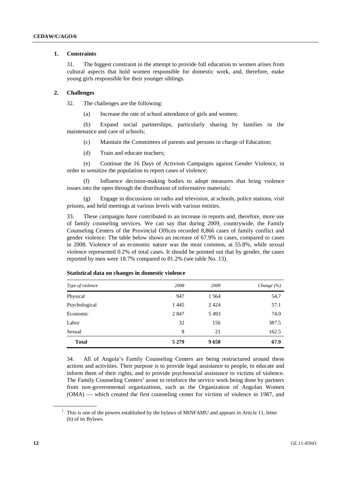#### **1. Constraints**

31. The biggest constraint in the attempt to provide full education to women arises from cultural aspects that hold women responsible for domestic work, and, therefore, make young girls responsible for their younger siblings.

#### **2. Challenges**

32. The challenges are the following:

(a) Increase the rate of school attendance of girls and women;

 (b) Expand social partnerships, particularly sharing by families in the maintenance and care of schools;

- (c) Maintain the Committees of parents and persons in charge of Education;
- (d) Train and educate teachers;

 (e) Continue the 16 Days of Activism Campaigns against Gender Violence, in order to sensitize the population to report cases of violence;

 (f) Influence decision-making bodies to adopt measures that bring violence issues into the open through the distribution of informative materials;

 (g) Engage in discussions on radio and television, at schools, police stations, visit prisons, and held meetings at various levels with various entities.

33. These campaigns have contributed to an increase in reports and, therefore, more use of family counseling services. We can say that during 2009, countrywide, the Family Counseling Centers of the Provincial Offices recorded 8,866 cases of family conflict and gender violence. The table below shows an increase of 67.9% in cases, compared to cases in 2008. Violence of an economic nature was the most common, at 55.8%, while sexual violence represented 0.2% of total cases. It should be pointed out that by gender, the cases reported by men were 18.7% compared to 81.2% (see table No. 13).

| Type of violence | 2008    | 2009    | Change $(\% )$ |
|------------------|---------|---------|----------------|
| Physical         | 947     | 1 5 6 4 | 54.7           |
| Psychological    | 1445    | 2424    | 57.1           |
| Economic         | 2847    | 5493    | 74.0           |
| Labor            | 32      | 156     | 387.5          |
| Sexual           | 8       | 21      | 162.5          |
| <b>Total</b>     | 5 2 7 9 | 9658    | 67.9           |

#### **Statistical data on changes in domestic violence**

34. All of Angola's Family Counseling Centers are being restructured around these actions and activities. Their purpose is to provide legal assistance to people, to educate and inform them of their rights, and to provide psychosocial assistance to victims of violence. The Family Counseling Centers<sup>1</sup> arose to reinforce the service work being done by partners from non-governmental organizations, such as the Organization of Angolan Women (OMA) — which created the first counseling center for victims of violence in 1987, and

<sup>&</sup>lt;sup>1</sup> This is one of the powers established by the bylaws of MINFAMU and appears in Article 11, letter (b) of its Bylaws.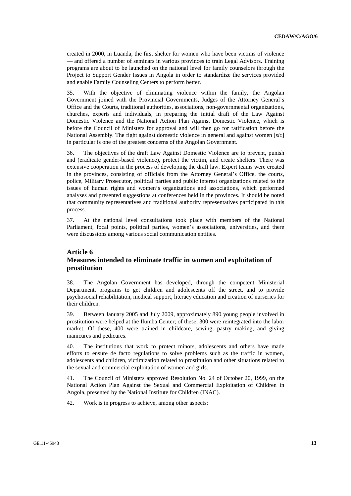created in 2000, in Luanda, the first shelter for women who have been victims of violence — and offered a number of seminars in various provinces to train Legal Advisors. Training programs are about to be launched on the national level for family counselors through the Project to Support Gender Issues in Angola in order to standardize the services provided and enable Family Counseling Centers to perform better.

35. With the objective of eliminating violence within the family, the Angolan Government joined with the Provincial Governments, Judges of the Attorney General's Office and the Courts, traditional authorities, associations, non-governmental organizations, churches, experts and individuals, in preparing the initial draft of the Law Against Domestic Violence and the National Action Plan Against Domestic Violence, which is before the Council of Ministers for approval and will then go for ratification before the National Assembly. The fight against domestic violence in general and against women [*sic*] in particular is one of the greatest concerns of the Angolan Government.

36. The objectives of the draft Law Against Domestic Violence are to prevent, punish and (eradicate gender-based violence), protect the victim, and create shelters. There was extensive cooperation in the process of developing the draft law. Expert teams were created in the provinces, consisting of officials from the Attorney General's Office, the courts, police, Military Prosecutor, political parties and public interest organizations related to the issues of human rights and women's organizations and associations, which performed analyses and presented suggestions at conferences held in the provinces. It should be noted that community representatives and traditional authority representatives participated in this process.

37. At the national level consultations took place with members of the National Parliament, focal points, political parties, women's associations, universities, and there were discussions among various social communication entities.

#### **Article 6**

## **Measures intended to eliminate traffic in women and exploitation of prostitution**

38. The Angolan Government has developed, through the competent Ministerial Department, programs to get children and adolescents off the street, and to provide psychosocial rehabilitation, medical support, literacy education and creation of nurseries for their children.

39. Between January 2005 and July 2009, approximately 890 young people involved in prostitution were helped at the Ilumba Center; of these, 300 were reintegrated into the labor market. Of these, 400 were trained in childcare, sewing, pastry making, and giving manicures and pedicures.

40. The institutions that work to protect minors, adolescents and others have made efforts to ensure de facto regulations to solve problems such as the traffic in women, adolescents and children, victimization related to prostitution and other situations related to the sexual and commercial exploitation of women and girls.

41. The Council of Ministers approved Resolution No. 24 of October 20, 1999, on the National Action Plan Against the Sexual and Commercial Exploitation of Children in Angola, presented by the National Institute for Children (INAC).

42. Work is in progress to achieve, among other aspects: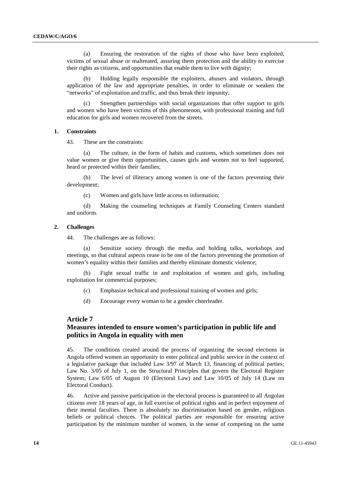(a) Ensuring the restoration of the rights of those who have been exploited, victims of sexual abuse or maltreated, assuring them protection and the ability to exercise their rights as citizens, and opportunities that enable them to live with dignity;

Holding legally responsible the exploiters, abusers and violators, through application of the law and appropriate penalties, in order to eliminate or weaken the "networks" of exploitation and traffic, and thus break their impunity;

Strengthen partnerships with social organizations that offer support to girls and women who have been victims of this phenomenon, with professional training and full education for girls and women recovered from the streets.

#### **1. Constraints**

43. These are the constraints:

 (a) The culture, in the form of habits and customs, which sometimes does not value women or give them opportunities, causes girls and women not to feel supported, heard or protected within their families;

 (b) The level of illiteracy among women is one of the factors preventing their development;

(c) Women and girls have little access to information;

 (d) Making the counseling techniques at Family Counseling Centers standard and uniform.

#### **2. Challenges**

44. The challenges are as follows:

 (a) Sensitize society through the media and holding talks, workshops and meetings, so that cultural aspects cease to be one of the factors preventing the promotion of women's equality within their families and thereby eliminate domestic violence;

 (b) Fight sexual traffic in and exploitation of women and girls, including exploitation for commercial purposes;

- (c) Emphasize technical and professional training of women and girls;
- (d) Encourage every woman to be a gender cheerleader.

#### **Article 7**

## **Measures intended to ensure women's participation in public life and politics in Angola in equality with men**

45. The conditions created around the process of organizing the second elections in Angola offered women an opportunity to enter political and public service in the context of a legislative package that included Law 3/97 of March 13, financing of political parties; Law No. 3/05 of July 1, on the Structural Principles that govern the Electoral Register System; Law 6/05 of August 10 (Electoral Law) and Law 10/05 of July 14 (Law on Electoral Conduct).

46. Active and passive participation in the electoral process is guaranteed to all Angolan citizens over 18 years of age, in full exercise of political rights and in perfect enjoyment of their mental faculties. There is absolutely no discrimination based on gender, religious beliefs or political choices. The political parties are responsible for ensuring active participation by the minimum number of women, in the sense of competing on the same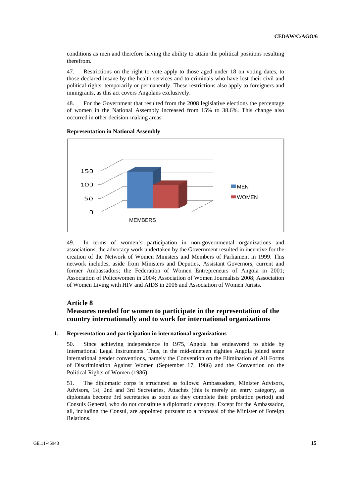conditions as men and therefore having the ability to attain the political positions resulting therefrom.

47. Restrictions on the right to vote apply to those aged under 18 on voting dates, to those declared insane by the health services and to criminals who have lost their civil and political rights, temporarily or permanently. These restrictions also apply to foreigners and immigrants, as this act covers Angolans exclusively.

48. For the Government that resulted from the 2008 legislative elections the percentage of women in the National Assembly increased from 15% to 38.6%. This change also occurred in other decision-making areas.

# 150 100 **NEN WOMEN** 50 O MEMBERS

 **Representation in National Assembly** 

49. In terms of women's participation in non-governmental organizations and associations, the advocacy work undertaken by the Government resulted in incentive for the creation of the Network of Women Ministers and Members of Parliament in 1999. This network includes, aside from Ministers and Deputies, Assistant Governors, current and former Ambassadors; the Federation of Women Entrepreneurs of Angola in 2001; Association of Policewomen in 2004; Association of Women Journalists 2008; Association of Women Living with HIV and AIDS in 2006 and Association of Women Jurists.

## **Article 8**

## **Measures needed for women to participate in the representation of the country internationally and to work for international organizations**

#### **1. Representation and participation in international organizations**

50. Since achieving independence in 1975, Angola has endeavored to abide by International Legal Instruments. Thus, in the mid-nineteen eighties Angola joined some international gender conventions, namely the Convention on the Elimination of All Forms of Discrimination Against Women (September 17, 1986) and the Convention on the Political Rights of Women (1986).

51. The diplomatic corps is structured as follows: Ambassadors, Minister Advisors, Advisors, 1st, 2nd and 3rd Secretaries, Attachés (this is merely an entry category, as diplomats become 3rd secretaries as soon as they complete their probation period) and Consuls General, who do not constitute a diplomatic category. Except for the Ambassador, all, including the Consul, are appointed pursuant to a proposal of the Minister of Foreign Relations.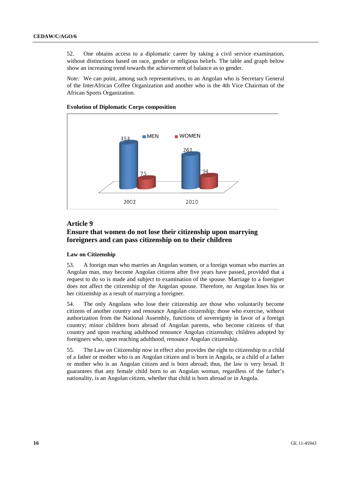52. One obtains access to a diplomatic career by taking a civil service examination, without distinctions based on race, gender or religious beliefs. The table and graph below show an increasing trend towards the achievement of balance as to gender.

*Note:* We can point, among such representatives, to an Angolan who is Secretary General of the InterAfrican Coffee Organization and another who is the 4th Vice Chairman of the African Sports Organization.



#### **Evolution of Diplomatic Corps composition**

#### **Article 9**

## **Ensure that women do not lose their citizenship upon marrying foreigners and can pass citizenship on to their children**

#### **Law on Citizenship**

53. A foreign man who marries an Angolan women, or a foreign woman who marries an Angolan man, may become Angolan citizens after five years have passed, provided that a request to do so is made and subject to examination of the spouse. Marriage to a foreigner does not affect the citizenship of the Angolan spouse. Therefore, no Angolan loses his or her citizenship as a result of marrying a foreigner.

54. The only Angolans who lose their citizenship are those who voluntarily become citizens of another country and renounce Angolan citizenship; those who exercise, without authorization from the National Assembly, functions of sovereignty in favor of a foreign country; minor children born abroad of Angolan parents, who become citizens of that country and upon reaching adulthood renounce Angolan citizenship; children adopted by foreigners who, upon reaching adulthood, renounce Angolan citizenship.

55. The Law on Citizenship now in effect also provides the right to citizenship to a child of a father or mother who is an Angolan citizen and is born in Angola, or a child of a father or mother who is an Angolan citizen and is born abroad; thus, the law is very broad. It guarantees that any female child born to an Angolan woman, regardless of the father's nationality, is an Angolan citizen, whether that child is born abroad or in Angola.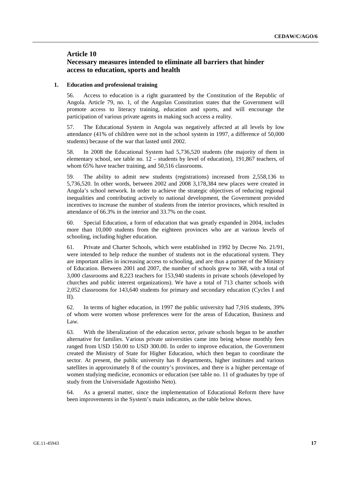## **Article 10 Necessary measures intended to eliminate all barriers that hinder access to education, sports and health**

#### **1. Education and professional training**

56. Access to education is a right guaranteed by the Constitution of the Republic of Angola. Article 79, no. 1, of the Angolan Constitution states that the Government will promote access to literacy training, education and sports, and will encourage the participation of various private agents in making such access a reality.

57. The Educational System in Angola was negatively affected at all levels by low attendance (41% of children were not in the school system in 1997, a difference of 50,000 students) because of the war that lasted until 2002.

58. In 2008 the Educational System had 5,736,520 students (the majority of them in elementary school, see table no. 12 – students by level of education), 191,867 teachers, of whom 65% have teacher training, and 50,516 classrooms.

59. The ability to admit new students (registrations) increased from 2,558,136 to 5,736,520. In other words, between 2002 and 2008 3,178,384 new places were created in Angola's school network. In order to achieve the strategic objectives of reducing regional inequalities and contributing actively to national development, the Government provided incentives to increase the number of students from the interior provinces, which resulted in attendance of 66.3% in the interior and 33.7% on the coast.

60. Special Education, a form of education that was greatly expanded in 2004, includes more than 10,000 students from the eighteen provinces who are at various levels of schooling, including higher education.

61. Private and Charter Schools, which were established in 1992 by Decree No. 21/91, were intended to help reduce the number of students not in the educational system. They are important allies in increasing access to schooling, and are thus a partner of the Ministry of Education. Between 2001 and 2007, the number of schools grew to 368, with a total of 3,000 classrooms and 8,223 teachers for 153,940 students in private schools (developed by churches and public interest organizations). We have a total of 713 charter schools with 2,052 classrooms for 143,640 students for primary and secondary education (Cycles I and II).

62. In terms of higher education, in 1997 the public university had 7,916 students, 39% of whom were women whose preferences were for the areas of Education, Business and Law.

63. With the liberalization of the education sector, private schools began to be another alternative for families. Various private universities came into being whose monthly fees ranged from USD 150.00 to USD 300.00. In order to improve education, the Government created the Ministry of State for Higher Education, which then began to coordinate the sector. At present, the public university has 8 departments, higher institutes and various satellites in approximately 8 of the country's provinces, and there is a higher percentage of women studying medicine, economics or education (see table no. 11 of graduates by type of study from the Universidade Agostinho Neto).

64. As a general matter, since the implementation of Educational Reform there have been improvements in the System's main indicators, as the table below shows.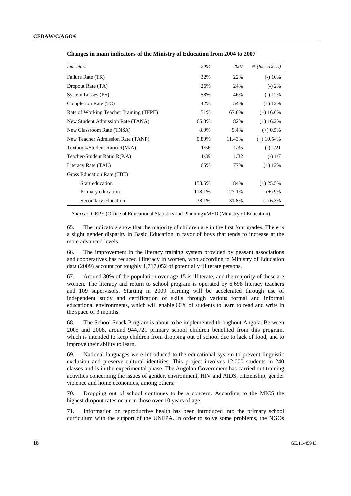| <i>Indicators</i>                       | 2004   | 2007   | % (Incr.)    |
|-----------------------------------------|--------|--------|--------------|
| Failure Rate (TR)                       | 32%    | 22%    | $(-)$ 10%    |
| Dropout Rate (TA)                       | 26%    | 24%    | $(-) 2\%$    |
| System Losses (PS)                      | 58%    | 46%    | $(-)$ 12%    |
| Completion Rate (TC)                    | 42%    | 54%    | $(+)$ 12%    |
| Rate of Working Teacher Training (TFPE) | 51%    | 67.6%  | $(+)$ 16.6%  |
| New Student Admission Rate (TANA)       | 65.8%  | 82%    | $(+)$ 16.2%  |
| New Classroom Rate (TNSA)               | 8.9%   | 9.4%   | $(+)$ 0.5%   |
| New Teacher Admission Rate (TANP)       | 0.89%  | 11.43% | $(+)$ 10.54% |
| Textbook/Student Ratio R(M/A)           | 1/56   | 1/35   | $(-) 1/21$   |
| Teacher/Student Ratio R(P/A)            | 1/39   | 1/32   | $(-)$ 1/7    |
| Literacy Rate (TAL)                     | 65%    | 77%    | $(+)$ 12%    |
| Gross Education Rate (TBE)              |        |        |              |
| <b>Start education</b>                  | 158.5% | 184%   | $(+)$ 25.5%  |
| Primary education                       | 118.1% | 127.1% | $(+)$ 9%     |
| Secondary education                     | 38.1%  | 31.8%  | $(-) 6.3%$   |

 **Changes in main indicators of the Ministry of Education from 2004 to 2007** 

*Source:* GEPE (Office of Educational Statistics and Planning)/MED (Ministry of Education).

65. The indicators show that the majority of children are in the first four grades. There is a slight gender disparity in Basic Education in favor of boys that tends to increase at the more advanced levels.

66. The improvement in the literacy training system provided by peasant associations and cooperatives has reduced illiteracy in women, who according to Ministry of Education data (2009) account for roughly 1,717,052 of potentially illiterate persons.

67. Around 30% of the population over age 15 is illiterate, and the majority of these are women. The literacy and return to school program is operated by 6,698 literacy teachers and 109 supervisors. Starting in 2009 learning will be accelerated through use of independent study and certification of skills through various formal and informal educational environments, which will enable 60% of students to learn to read and write in the space of 3 months.

68. The School Snack Program is about to be implemented throughout Angola. Between 2005 and 2008, around 944,721 primary school children benefited from this program, which is intended to keep children from dropping out of school due to lack of food, and to improve their ability to learn.

69. National languages were introduced to the educational system to prevent linguistic exclusion and preserve cultural identities. This project involves 12,000 students in 240 classes and is in the experimental phase. The Angolan Government has carried out training activities concerning the issues of gender, environment, HIV and AIDS, citizenship, gender violence and home economics, among others.

70. Dropping out of school continues to be a concern. According to the MICS the highest dropout rates occur in those over 10 years of age.

71. Information on reproductive health has been introduced into the primary school curriculum with the support of the UNFPA. In order to solve some problems, the NGOs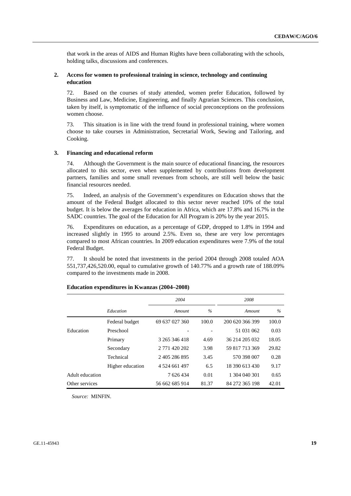that work in the areas of AIDS and Human Rights have been collaborating with the schools, holding talks, discussions and conferences.

#### **2. Access for women to professional training in science, technology and continuing education**

72. Based on the courses of study attended, women prefer Education, followed by Business and Law, Medicine, Engineering, and finally Agrarian Sciences. This conclusion, taken by itself, is symptomatic of the influence of social preconceptions on the professions women choose.

73. This situation is in line with the trend found in professional training, where women choose to take courses in Administration, Secretarial Work, Sewing and Tailoring, and Cooking.

#### **3. Financing and educational reform**

74. Although the Government is the main source of educational financing, the resources allocated to this sector, even when supplemented by contributions from development partners, families and some small revenues from schools, are still well below the basic financial resources needed.

75. Indeed, an analysis of the Government's expenditures on Education shows that the amount of the Federal Budget allocated to this sector never reached 10% of the total budget. It is below the averages for education in Africa, which are 17.8% and 16.7% in the SADC countries. The goal of the Education for All Program is 20% by the year 2015.

76. Expenditures on education, as a percentage of GDP, dropped to 1.8% in 1994 and increased slightly in 1995 to around 2.5%. Even so, these are very low percentages compared to most African countries. In 2009 education expenditures were 7.9% of the total Federal Budget.

77. It should be noted that investments in the period 2004 through 2008 totaled AOA 551,737,426,520.00, equal to cumulative growth of 140.77% and a growth rate of 188.09% compared to the investments made in 2008.

|                 |                  | 2004           |       | 2008            |       |
|-----------------|------------------|----------------|-------|-----------------|-------|
|                 | Education        | Amount         | $\%$  | Amount          | $\%$  |
|                 | Federal budget   | 69 637 027 360 | 100.0 | 200 620 366 399 | 100.0 |
| Education       | Preschool        |                |       | 51 031 062      | 0.03  |
|                 | Primary          | 3 265 346 418  | 4.69  | 36 214 205 032  | 18.05 |
|                 | Secondary        | 2 771 420 202  | 3.98  | 59 817 713 369  | 29.82 |
|                 | Technical        | 2 405 286 895  | 3.45  | 570 398 007     | 0.28  |
|                 | Higher education | 4 524 661 497  | 6.5   | 18 390 613 430  | 9.17  |
| Adult education |                  | 7 626 434      | 0.01  | 1 304 040 301   | 0.65  |
| Other services  |                  | 56 662 685 914 | 81.37 | 84 272 365 198  | 42.01 |

#### **Education expenditures in Kwanzas (2004–2008)**

*Source:* MINFIN.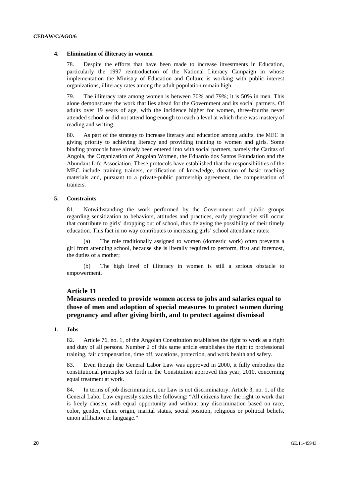#### **4. Elimination of illiteracy in women**

78. Despite the efforts that have been made to increase investments in Education, particularly the 1997 reintroduction of the National Literacy Campaign in whose implementation the Ministry of Education and Culture is working with public interest organizations, illiteracy rates among the adult population remain high.

79. The illiteracy rate among women is between 70% and 79%; it is 50% in men. This alone demonstrates the work that lies ahead for the Government and its social partners. Of adults over 19 years of age, with the incidence higher for women, three-fourths never attended school or did not attend long enough to reach a level at which there was mastery of reading and writing.

80. As part of the strategy to increase literacy and education among adults, the MEC is giving priority to achieving literacy and providing training to women and girls. Some binding protocols have already been entered into with social partners, namely the Caritas of Angola, the Organization of Angolan Women, the Eduardo dos Santos Foundation and the Abundant Life Association. These protocols have established that the responsibilities of the MEC include training trainers, certification of knowledge, donation of basic teaching materials and, pursuant to a private-public partnership agreement, the compensation of trainers.

#### **5. Constraints**

81. Notwithstanding the work performed by the Government and public groups regarding sensitization to behaviors, attitudes and practices, early pregnancies still occur that contribute to girls' dropping out of school, thus delaying the possibility of their timely education. This fact in no way contributes to increasing girls' school attendance rates:

 (a) The role traditionally assigned to women (domestic work) often prevents a girl from attending school, because she is literally required to perform, first and foremost, the duties of a mother;

 (b) The high level of illiteracy in women is still a serious obstacle to empowerment.

#### **Article 11**

## **Measures needed to provide women access to jobs and salaries equal to those of men and adoption of special measures to protect women during pregnancy and after giving birth, and to protect against dismissal**

#### **1. Jobs**

82. Article 76, no. 1, of the Angolan Constitution establishes the right to work as a right and duty of all persons. Number 2 of this same article establishes the right to professional training, fair compensation, time off, vacations, protection, and work health and safety.

83. Even though the General Labor Law was approved in 2000, it fully embodies the constitutional principles set forth in the Constitution approved this year, 2010, concerning equal treatment at work.

84. In terms of job discrimination, our Law is not discriminatory. Article 3, no. 1, of the General Labor Law expressly states the following: "All citizens have the right to work that is freely chosen, with equal opportunity and without any discrimination based on race, color, gender, ethnic origin, marital status, social position, religious or political beliefs, union affiliation or language."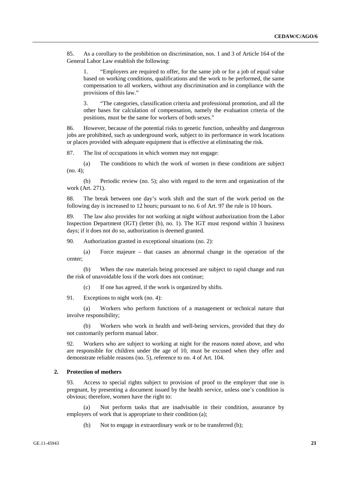85. As a corollary to the prohibition on discrimination, nos. 1 and 3 of Article 164 of the General Labor Law establish the following:

1. "Employers are required to offer, for the same job or for a job of equal value based on working conditions, qualifications and the work to be performed, the same compensation to all workers, without any discrimination and in compliance with the provisions of this law."

3. "The categories, classification criteria and professional promotion, and all the other bases for calculation of compensation, namely the evaluation criteria of the positions, must be the same for workers of both sexes."

86. However, because of the potential risks to genetic function, unhealthy and dangerous jobs are prohibited, such as underground work, subject to its performance in work locations or places provided with adequate equipment that is effective at eliminating the risk.

87. The list of occupations in which women may not engage:

 (a) The conditions to which the work of women in these conditions are subject (no. 4);

 (b) Periodic review (no. 5); also with regard to the term and organization of the work (Art. 271).

88. The break between one day's work shift and the start of the work period on the following day is increased to 12 hours; pursuant to no. 6 of Art. 97 the rule is 10 hours.

89. The law also provides for not working at night without authorization from the Labor Inspection Department (IGT) (letter (b), no. 1). The IGT must respond within 3 business days; if it does not do so, authorization is deemed granted.

90. Authorization granted in exceptional situations (no. 2):

 (a) Force majeure – that causes an abnormal change in the operation of the center;

 (b) When the raw materials being processed are subject to rapid change and run the risk of unavoidable loss if the work does not continue;

(c) If one has agreed, if the work is organized by shifts.

91. Exceptions to night work (no. 4):

 (a) Workers who perform functions of a management or technical nature that involve responsibility;

 (b) Workers who work in health and well-being services, provided that they do not customarily perform manual labor.

92. Workers who are subject to working at night for the reasons noted above, and who are responsible for children under the age of 10, must be excused when they offer and demonstrate reliable reasons (no. 5), reference to no. 4 of Art. 104.

#### **2. Protection of mothers**

93. Access to special rights subject to provision of proof to the employer that one is pregnant, by presenting a document issued by the health service, unless one's condition is obvious; therefore, women have the right to:

 (a) Not perform tasks that are inadvisable in their condition, assurance by employers of work that is appropriate to their condition (a);

(b) Not to engage in extraordinary work or to be transferred (b);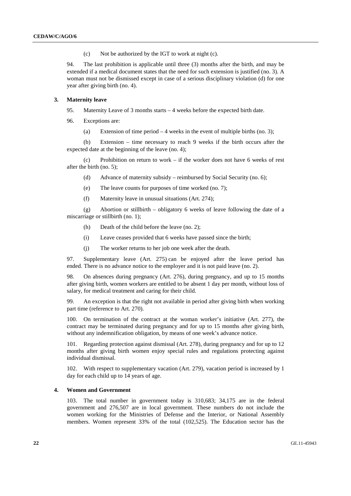(c) Not be authorized by the IGT to work at night (c).

94. The last prohibition is applicable until three (3) months after the birth, and may be extended if a medical document states that the need for such extension is justified (no. 3). A woman must not be dismissed except in case of a serious disciplinary violation (d) for one year after giving birth (no. 4).

#### **3. Maternity leave**

- 95. Maternity Leave of 3 months starts 4 weeks before the expected birth date.
- 96. Exceptions are:
	- (a) Extension of time period  $-4$  weeks in the event of multiple births (no. 3);

 (b) Extension – time necessary to reach 9 weeks if the birth occurs after the expected date at the beginning of the leave (no. 4);

 (c) Prohibition on return to work – if the worker does not have 6 weeks of rest after the birth (no. 5);

- (d) Advance of maternity subsidy reimbursed by Social Security (no. 6);
- (e) The leave counts for purposes of time worked (no. 7);
- (f) Maternity leave in unusual situations (Art. 274);

 (g) Abortion or stillbirth – obligatory 6 weeks of leave following the date of a miscarriage or stillbirth (no. 1);

- (h) Death of the child before the leave (no. 2);
- (i) Leave ceases provided that 6 weeks have passed since the birth;
- (j) The worker returns to her job one week after the death.

97. Supplementary leave (Art. 275) can be enjoyed after the leave period has ended. There is no advance notice to the employer and it is not paid leave (no. 2).

98. On absences during pregnancy (Art. 276), during pregnancy, and up to 15 months after giving birth, women workers are entitled to be absent 1 day per month, without loss of salary, for medical treatment and caring for their child.

99. An exception is that the right not available in period after giving birth when working part time (reference to Art. 270).

100. On termination of the contract at the woman worker's initiative (Art. 277), the contract may be terminated during pregnancy and for up to 15 months after giving birth, without any indemnification obligation, by means of one week's advance notice.

101. Regarding protection against dismissal (Art. 278), during pregnancy and for up to 12 months after giving birth women enjoy special rules and regulations protecting against individual dismissal.

102. With respect to supplementary vacation (Art. 279), vacation period is increased by 1 day for each child up to 14 years of age.

#### **4. Women and Government**

103. The total number in government today is 310,683; 34,175 are in the federal government and 276,507 are in local government. These numbers do not include the women working for the Ministries of Defense and the Interior, or National Assembly members. Women represent 33% of the total (102,525). The Education sector has the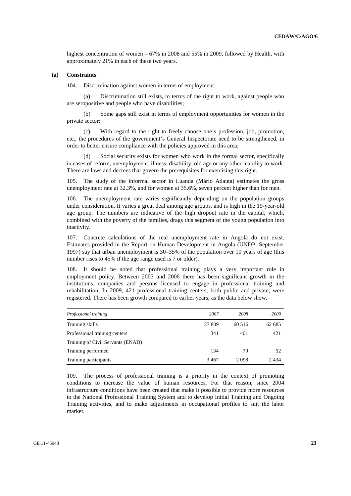highest concentration of women – 67% in 2008 and 55% in 2009, followed by Health, with approximately 21% in each of these two years.

#### **(a) Constraints**

104. Discrimination against women in terms of employment:

 (a) Discrimination still exists, in terms of the right to work, against people who are seropositive and people who have disabilities;

 (b) Some gaps still exist in terms of employment opportunities for women in the private sector;

 (c) With regard to the right to freely choose one's profession, job, promotion, etc., the procedures of the government's General Inspectorate need to be strengthened, in order to better ensure compliance with the policies approved in this area;

Social security exists for women who work in the formal sector, specifically in cases of reform, unemployment, illness, disability, old age or any other inability to work. There are laws and decrees that govern the prerequisites for exercising this right.

105. The study of the informal sector in Luanda (Mário Adauta) estimates the gross unemployment rate at 32.3%, and for women at 35.6%, seven percent higher than for men.

106. The unemployment rate varies significantly depending on the population groups under consideration. It varies a great deal among age groups, and is high in the 19-year-old age group. The numbers are indicative of the high dropout rate in the capital, which, combined with the poverty of the families, drags this segment of the young population into inactivity.

107. Concrete calculations of the real unemployment rate in Angola do not exist. Estimates provided in the Report on Human Development in Angola (UNDP, September 1997) say that urban unemployment is 30–35% of the population over 10 years of age (this number rises to 45% if the age range used is 7 or older).

108. It should be noted that professional training plays a very important role in employment policy. Between 2003 and 2006 there has been significant growth in the institutions, companies and persons licensed to engage in professional training and rehabilitation. In 2009, 421 professional training centers, both public and private, were registered. There has been growth compared to earlier years, as the data below show.

| Professional training             | 2007   | 2008   | 2009   |
|-----------------------------------|--------|--------|--------|
| Training skills                   | 27 809 | 60 516 | 62 685 |
| Professional training centers     | 341    | 401    | 421    |
| Training of Civil Servants (ENAD) |        |        |        |
| Training performed                | 134    | 70     | 52     |
| Training participants             | 3467   | 2098   | 2434   |

109. The process of professional training is a priority in the context of promoting conditions to increase the value of human resources. For that reason, since 2004 infrastructure conditions have been created that make it possible to provide more resources to the National Professional Training System and to develop Initial Training and Ongoing Training activities, and to make adjustments in occupational profiles to suit the labor market.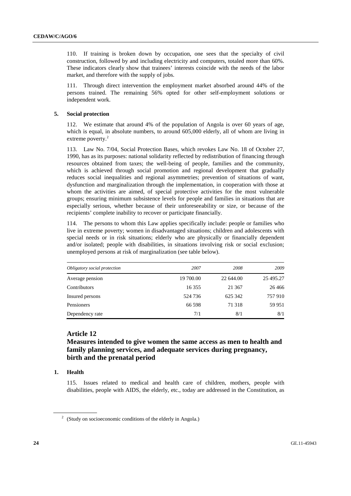110. If training is broken down by occupation, one sees that the specialty of civil construction, followed by and including electricity and computers, totaled more than 60%. These indicators clearly show that trainees' interests coincide with the needs of the labor market, and therefore with the supply of jobs.

111. Through direct intervention the employment market absorbed around 44% of the persons trained. The remaining 56% opted for other self-employment solutions or independent work.

#### **5. Social protection**

112. We estimate that around 4% of the population of Angola is over 60 years of age, which is equal, in absolute numbers, to around 605,000 elderly, all of whom are living in extreme poverty.<sup>2</sup>

113. Law No. 7/04, Social Protection Bases, which revokes Law No. 18 of October 27, 1990, has as its purposes: national solidarity reflected by redistribution of financing through resources obtained from taxes; the well-being of people, families and the community, which is achieved through social promotion and regional development that gradually reduces social inequalities and regional asymmetries; prevention of situations of want, dysfunction and marginalization through the implementation, in cooperation with those at whom the activities are aimed, of special protective activities for the most vulnerable groups; ensuring minimum subsistence levels for people and families in situations that are especially serious, whether because of their unforeseeability or size, or because of the recipients' complete inability to recover or participate financially.

114. The persons to whom this Law applies specifically include: people or families who live in extreme poverty; women in disadvantaged situations; children and adolescents with special needs or in risk situations; elderly who are physically or financially dependent and/or isolated; people with disabilities, in situations involving risk or social exclusion; unemployed persons at risk of marginalization (see table below).

| Obligatory social protection | 2007      | 2008      | 2009      |
|------------------------------|-----------|-----------|-----------|
| Average pension              | 19 700.00 | 22 644.00 | 25 495.27 |
| Contributors                 | 16 3 5 5  | 21 367    | 26 4 6 6  |
| Insured persons              | 524 736   | 625 342   | 757910    |
| Pensioners                   | 66 598    | 71 318    | 59 951    |
| Dependency rate              | 7/1       | 8/1       | 8/1       |

## **Article 12**

## **Measures intended to give women the same access as men to health and family planning services, and adequate services during pregnancy, birth and the prenatal period**

### **1. Health**

115. Issues related to medical and health care of children, mothers, people with disabilities, people with AIDS, the elderly, etc., today are addressed in the Constitution, as

 $2^2$  (Study on socioeconomic conditions of the elderly in Angola.)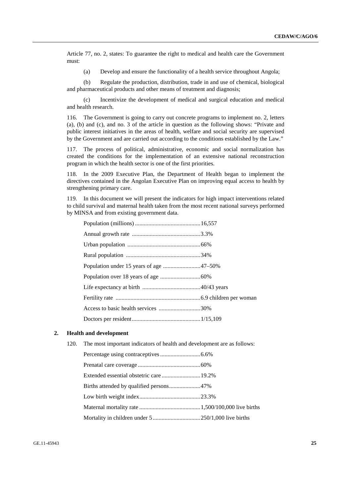Article 77, no. 2, states: To guarantee the right to medical and health care the Government must:

(a) Develop and ensure the functionality of a health service throughout Angola;

 (b) Regulate the production, distribution, trade in and use of chemical, biological and pharmaceutical products and other means of treatment and diagnosis;

 (c) Incentivize the development of medical and surgical education and medical and health research.

116. The Government is going to carry out concrete programs to implement no. 2, letters (a), (b) and (c), and no. 3 of the article in question as the following shows: "Private and public interest initiatives in the areas of health, welfare and social security are supervised by the Government and are carried out according to the conditions established by the Law."

117. The process of political, administrative, economic and social normalization has created the conditions for the implementation of an extensive national reconstruction program in which the health sector is one of the first priorities.

118. In the 2009 Executive Plan, the Department of Health began to implement the directives contained in the Angolan Executive Plan on improving equal access to health by strengthening primary care.

119. In this document we will present the indicators for high impact interventions related to child survival and maternal health taken from the most recent national surveys performed by MINSA and from existing government data.

| Access to basic health services 30% |  |
|-------------------------------------|--|
|                                     |  |

#### **2. Health and development**

120. The most important indicators of health and development are as follows: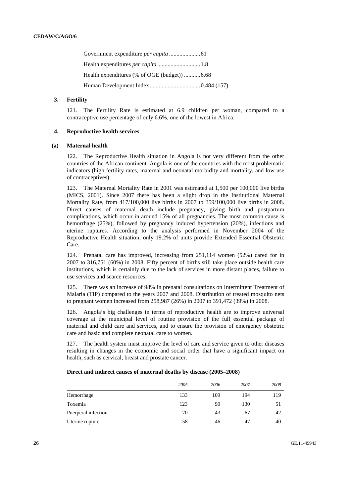#### **3. Fertility**

121. The Fertility Rate is estimated at 6.9 children per woman, compared to a contraceptive use percentage of only 6.6%, one of the lowest in Africa.

#### **4. Reproductive health services**

#### **(a) Maternal health**

122. The Reproductive Health situation in Angola is not very different from the other countries of the African continent. Angola is one of the countries with the most problematic indicators (high fertility rates, maternal and neonatal morbidity and mortality, and low use of contraceptives).

123. The Maternal Mortality Rate in 2001 was estimated at 1,500 per 100,000 live births (MICS, 2001). Since 2007 there has been a slight drop in the Institutional Maternal Mortality Rate, from 417/100,000 live births in 2007 to 359/100,000 live births in 2008. Direct causes of maternal death include pregnancy, giving birth and postpartum complications, which occur in around 15% of all pregnancies. The most common cause is hemorrhage (25%), followed by pregnancy induced hypertension (20%), infections and uterine ruptures. According to the analysis performed in November 2004 of the Reproductive Health situation, only 19.2% of units provide Extended Essential Obstetric Care.

124. Prenatal care has improved, increasing from 251,114 women (52%) cared for in 2007 to 316,751 (60%) in 2008. Fifty percent of births still take place outside health care institutions, which is certainly due to the lack of services in more distant places, failure to use services and scarce resources.

125. There was an increase of 98% in prenatal consultations on Intermittent Treatment of Malaria (TIP) compared to the years 2007 and 2008. Distribution of treated mosquito nets to pregnant women increased from 258,987 (26%) in 2007 to 391,472 (39%) in 2008.

126. Angola's big challenges in terms of reproductive health are to improve universal coverage at the municipal level of routine provision of the full essential package of maternal and child care and services, and to ensure the provision of emergency obstetric care and basic and complete neonatal care to women.

The health system must improve the level of care and service given to other diseases resulting in changes in the economic and social order that have a significant impact on health, such as cervical, breast and prostate cancer.

|                     | 2005 | 2006 | 2007 | 2008 |
|---------------------|------|------|------|------|
| Hemorrhage          | 133  | 109  | 194  | 119  |
| Toxemia             | 123  | 90   | 130  | 51   |
| Puerperal infection | 70   | 43   | 67   | 42   |
| Uterine rupture     | 58   | 46   | 47   | 40   |

#### **Direct and indirect causes of maternal deaths by disease (2005–2008)**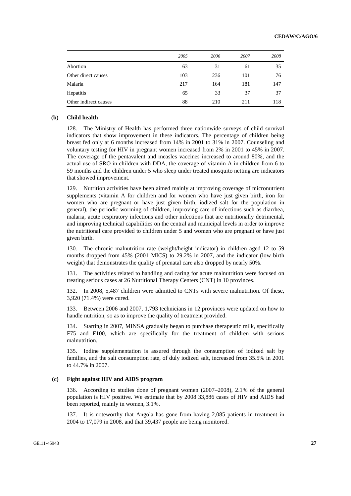|                       | 2005 | 2006 | 2007 | 2008 |
|-----------------------|------|------|------|------|
| Abortion              | 63   | 31   | 61   | 35   |
| Other direct causes   | 103  | 236  | 101  | 76   |
| Malaria               | 217  | 164  | 181  | 147  |
| Hepatitis             | 65   | 33   | 37   | 37   |
| Other indirect causes | 88   | 210  | 211  | 118  |

#### **(b) Child health**

128. The Ministry of Health has performed three nationwide surveys of child survival indicators that show improvement in these indicators. The percentage of children being breast fed only at 6 months increased from 14% in 2001 to 31% in 2007. Counseling and voluntary testing for HIV in pregnant women increased from 2% in 2001 to 45% in 2007. The coverage of the pentavalent and measles vaccines increased to around 80%, and the actual use of SRO in children with DDA, the coverage of vitamin A in children from 6 to 59 months and the children under 5 who sleep under treated mosquito netting are indicators that showed improvement.

129. Nutrition activities have been aimed mainly at improving coverage of micronutrient supplements (vitamin A for children and for women who have just given birth, iron for women who are pregnant or have just given birth, iodized salt for the population in general), the periodic worming of children, improving care of infections such as diarrhea, malaria, acute respiratory infections and other infections that are nutritionally detrimental, and improving technical capabilities on the central and municipal levels in order to improve the nutritional care provided to children under 5 and women who are pregnant or have just given birth.

130. The chronic malnutrition rate (weight/height indicator) in children aged 12 to 59 months dropped from 45% (2001 MICS) to 29.2% in 2007, and the indicator (low birth weight) that demonstrates the quality of prenatal care also dropped by nearly 50%.

131. The activities related to handling and caring for acute malnutrition were focused on treating serious cases at 26 Nutritional Therapy Centers (CNT) in 10 provinces.

132. In 2008, 5,487 children were admitted to CNTs with severe malnutrition. Of these, 3,920 (71.4%) were cured.

133. Between 2006 and 2007, 1,793 technicians in 12 provinces were updated on how to handle nutrition, so as to improve the quality of treatment provided.

134. Starting in 2007, MINSA gradually began to purchase therapeutic milk, specifically F75 and F100, which are specifically for the treatment of children with serious malnutrition.

135. Iodine supplementation is assured through the consumption of iodized salt by families, and the salt consumption rate, of duly iodized salt, increased from 35.5% in 2001 to 44.7% in 2007.

#### **(c) Fight against HIV and AIDS program**

136. According to studies done of pregnant women (2007–2008), 2.1% of the general population is HIV positive. We estimate that by 2008 33,886 cases of HIV and AIDS had been reported, mainly in women, 3.1%.

137. It is noteworthy that Angola has gone from having 2,085 patients in treatment in 2004 to 17,079 in 2008, and that 39,437 people are being monitored.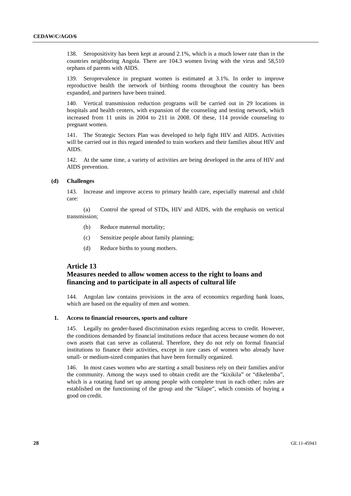138. Seropositivity has been kept at around 2.1%, which is a much lower rate than in the countries neighboring Angola. There are 104.3 women living with the virus and 58,510 orphans of parents with AIDS.

139. Seroprevalence in pregnant women is estimated at 3.1%. In order to improve reproductive health the network of birthing rooms throughout the country has been expanded, and partners have been trained.

140. Vertical transmission reduction programs will be carried out in 29 locations in hospitals and health centers, with expansion of the counseling and testing network, which increased from 11 units in 2004 to 211 in 2008. Of these, 114 provide counseling to pregnant women.

141. The Strategic Sectors Plan was developed to help fight HIV and AIDS. Activities will be carried out in this regard intended to train workers and their families about HIV and AIDS.

142. At the same time, a variety of activities are being developed in the area of HIV and AIDS prevention.

#### **(d) Challenges**

143. Increase and improve access to primary health care, especially maternal and child care:

 (a) Control the spread of STDs, HIV and AIDS, with the emphasis on vertical transmission;

- (b) Reduce maternal mortality;
- (c) Sensitize people about family planning;
- (d) Reduce births to young mothers.

## **Article 13**

## **Measures needed to allow women access to the right to loans and financing and to participate in all aspects of cultural life**

144. Angolan law contains provisions in the area of economics regarding bank loans, which are based on the equality of men and women.

#### **1. Access to financial resources, sports and culture**

145. Legally no gender-based discrimination exists regarding access to credit. However, the conditions demanded by financial institutions reduce that access because women do not own assets that can serve as collateral. Therefore, they do not rely on formal financial institutions to finance their activities, except in rare cases of women who already have small- or medium-sized companies that have been formally organized.

146. In most cases women who are starting a small business rely on their families and/or the community. Among the ways used to obtain credit are the "kixikila" or "dikelemba", which is a rotating fund set up among people with complete trust in each other; rules are established on the functioning of the group and the "kilape", which consists of buying a good on credit.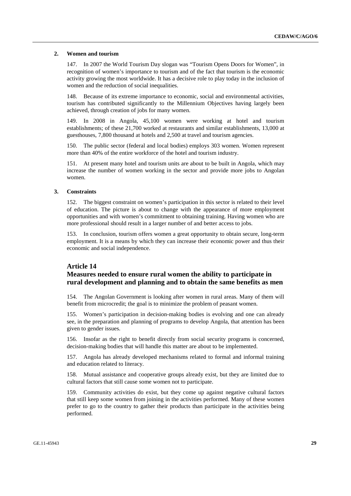#### **2. Women and tourism**

147. In 2007 the World Tourism Day slogan was "Tourism Opens Doors for Women", in recognition of women's importance to tourism and of the fact that tourism is the economic activity growing the most worldwide. It has a decisive role to play today in the inclusion of women and the reduction of social inequalities.

148. Because of its extreme importance to economic, social and environmental activities, tourism has contributed significantly to the Millennium Objectives having largely been achieved, through creation of jobs for many women.

149. In 2008 in Angola, 45,100 women were working at hotel and tourism establishments; of these 21,700 worked at restaurants and similar establishments, 13,000 at guesthouses, 7,800 thousand at hotels and 2,500 at travel and tourism agencies.

150. The public sector (federal and local bodies) employs 303 women. Women represent more than 40% of the entire workforce of the hotel and tourism industry.

151. At present many hotel and tourism units are about to be built in Angola, which may increase the number of women working in the sector and provide more jobs to Angolan women.

#### **3. Constraints**

152. The biggest constraint on women's participation in this sector is related to their level of education. The picture is about to change with the appearance of more employment opportunities and with women's commitment to obtaining training. Having women who are more professional should result in a larger number of and better access to jobs.

153. In conclusion, tourism offers women a great opportunity to obtain secure, long-term employment. It is a means by which they can increase their economic power and thus their economic and social independence.

#### **Article 14**

## **Measures needed to ensure rural women the ability to participate in rural development and planning and to obtain the same benefits as men**

154. The Angolan Government is looking after women in rural areas. Many of them will benefit from microcredit; the goal is to minimize the problem of peasant women.

155. Women's participation in decision-making bodies is evolving and one can already see, in the preparation and planning of programs to develop Angola, that attention has been given to gender issues.

156. Insofar as the right to benefit directly from social security programs is concerned, decision-making bodies that will handle this matter are about to be implemented.

157. Angola has already developed mechanisms related to formal and informal training and education related to literacy.

158. Mutual assistance and cooperative groups already exist, but they are limited due to cultural factors that still cause some women not to participate.

159. Community activities do exist, but they come up against negative cultural factors that still keep some women from joining in the activities performed. Many of these women prefer to go to the country to gather their products than participate in the activities being performed.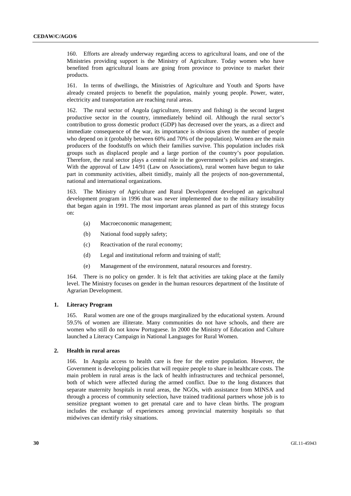160. Efforts are already underway regarding access to agricultural loans, and one of the Ministries providing support is the Ministry of Agriculture. Today women who have benefited from agricultural loans are going from province to province to market their products.

161. In terms of dwellings, the Ministries of Agriculture and Youth and Sports have already created projects to benefit the population, mainly young people. Power, water, electricity and transportation are reaching rural areas.

162. The rural sector of Angola (agriculture, forestry and fishing) is the second largest productive sector in the country, immediately behind oil. Although the rural sector's contribution to gross domestic product (GDP) has decreased over the years, as a direct and immediate consequence of the war, its importance is obvious given the number of people who depend on it (probably between 60% and 70% of the population). Women are the main producers of the foodstuffs on which their families survive. This population includes risk groups such as displaced people and a large portion of the country's poor population. Therefore, the rural sector plays a central role in the government's policies and strategies. With the approval of Law 14/91 (Law on Associations), rural women have begun to take part in community activities, albeit timidly, mainly all the projects of non-governmental, national and international organizations.

163. The Ministry of Agriculture and Rural Development developed an agricultural development program in 1996 that was never implemented due to the military instability that began again in 1991. The most important areas planned as part of this strategy focus on:

- (a) Macroeconomic management;
- (b) National food supply safety;
- (c) Reactivation of the rural economy;
- (d) Legal and institutional reform and training of staff;
- (e) Management of the environment, natural resources and forestry.

164. There is no policy on gender. It is felt that activities are taking place at the family level. The Ministry focuses on gender in the human resources department of the Institute of Agrarian Development.

#### **1. Literacy Program**

165. Rural women are one of the groups marginalized by the educational system. Around 59.5% of women are illiterate. Many communities do not have schools, and there are women who still do not know Portuguese. In 2000 the Ministry of Education and Culture launched a Literacy Campaign in National Languages for Rural Women.

#### **2. Health in rural areas**

166. In Angola access to health care is free for the entire population. However, the Government is developing policies that will require people to share in healthcare costs. The main problem in rural areas is the lack of health infrastructures and technical personnel, both of which were affected during the armed conflict. Due to the long distances that separate maternity hospitals in rural areas, the NGOs, with assistance from MINSA and through a process of community selection, have trained traditional partners whose job is to sensitize pregnant women to get prenatal care and to have clean births. The program includes the exchange of experiences among provincial maternity hospitals so that midwives can identify risky situations.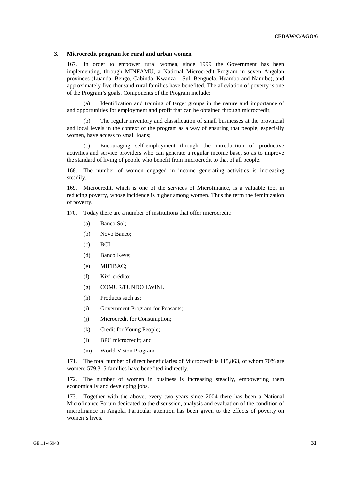#### **3. Microcredit program for rural and urban women**

167. In order to empower rural women, since 1999 the Government has been implementing, through MINFAMU, a National Microcredit Program in seven Angolan provinces (Luanda, Bengo, Cabinda, Kwanza – Sul, Benguela, Huambo and Namibe), and approximately five thousand rural families have benefited. The alleviation of poverty is one of the Program's goals. Components of the Program include:

 (a) Identification and training of target groups in the nature and importance of and opportunities for employment and profit that can be obtained through microcredit;

 (b) The regular inventory and classification of small businesses at the provincial and local levels in the context of the program as a way of ensuring that people, especially women, have access to small loans;

 (c) Encouraging self-employment through the introduction of productive activities and service providers who can generate a regular income base, so as to improve the standard of living of people who benefit from microcredit to that of all people.

168. The number of women engaged in income generating activities is increasing steadily.

169. Microcredit, which is one of the services of Microfinance, is a valuable tool in reducing poverty, whose incidence is higher among women. Thus the term the feminization of poverty.

170. Today there are a number of institutions that offer microcredit:

- (a) Banco Sol;
- (b) Novo Banco;
- (c) BCI;
- (d) Banco Keve;
- (e) MIFIBAC;
- (f) Kixi-crédito;
- (g) COMUR/FUNDO LWINI.
- (h) Products such as:
- (i) Government Program for Peasants;
- (j) Microcredit for Consumption;
- (k) Credit for Young People;
- (l) BPC microcredit; and
- (m) World Vision Program.

171. The total number of direct beneficiaries of Microcredit is 115,863, of whom 70% are women; 579,315 families have benefited indirectly.

172. The number of women in business is increasing steadily, empowering them economically and developing jobs.

173. Together with the above, every two years since 2004 there has been a National Microfinance Forum dedicated to the discussion, analysis and evaluation of the condition of microfinance in Angola. Particular attention has been given to the effects of poverty on women's lives.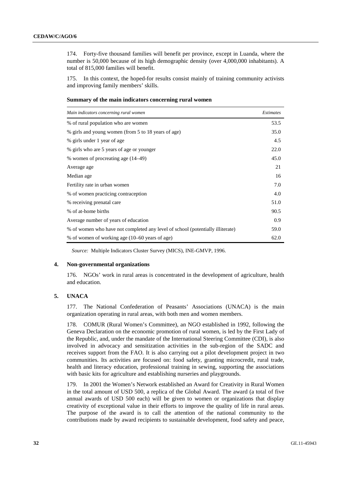174. Forty-five thousand families will benefit per province, except in Luanda, where the number is 50,000 because of its high demographic density (over 4,000,000 inhabitants). A total of 815,000 families will benefit.

175. In this context, the hoped-for results consist mainly of training community activists and improving family members' skills.

|  | Summary of the main indicators concerning rural women |  |
|--|-------------------------------------------------------|--|
|  |                                                       |  |

| Main indicators concerning rural women                                         | <i>Estimates</i> |
|--------------------------------------------------------------------------------|------------------|
| % of rural population who are women                                            | 53.5             |
| % girls and young women (from 5 to 18 years of age)                            | 35.0             |
| % girls under 1 year of age                                                    | 4.5              |
| % girls who are 5 years of age or younger                                      | 22.0             |
| % women of procreating age (14–49)                                             | 45.0             |
| Average age                                                                    | 21               |
| Median age                                                                     | 16               |
| Fertility rate in urban women                                                  | 7.0              |
| % of women practicing contraception                                            | 4.0              |
| % receiving prenatal care                                                      | 51.0             |
| % of at-home births                                                            | 90.5             |
| Average number of years of education                                           | 0.9              |
| % of women who have not completed any level of school (potentially illiterate) | 59.0             |
| % of women of working age (10–60 years of age)                                 | 62.0             |

*Source:* Multiple Indicators Cluster Survey (MICS), INE-GMVP, 1996.

#### **4. Non-governmental organizations**

176. NGOs' work in rural areas is concentrated in the development of agriculture, health and education.

#### **5. UNACA**

177. The National Confederation of Peasants' Associations (UNACA) is the main organization operating in rural areas, with both men and women members.

178. COMUR (Rural Women's Committee), an NGO established in 1992, following the Geneva Declaration on the economic promotion of rural women, is led by the First Lady of the Republic, and, under the mandate of the International Steering Committee (CDI), is also involved in advocacy and sensitization activities in the sub-region of the SADC and receives support from the FAO. It is also carrying out a pilot development project in two communities. Its activities are focused on: food safety, granting microcredit, rural trade, health and literacy education, professional training in sewing, supporting the associations with basic kits for agriculture and establishing nurseries and playgrounds.

179. In 2001 the Women's Network established an Award for Creativity in Rural Women in the total amount of USD 500, a replica of the Global Award. The award (a total of five annual awards of USD 500 each) will be given to women or organizations that display creativity of exceptional value in their efforts to improve the quality of life in rural areas. The purpose of the award is to call the attention of the national community to the contributions made by award recipients to sustainable development, food safety and peace,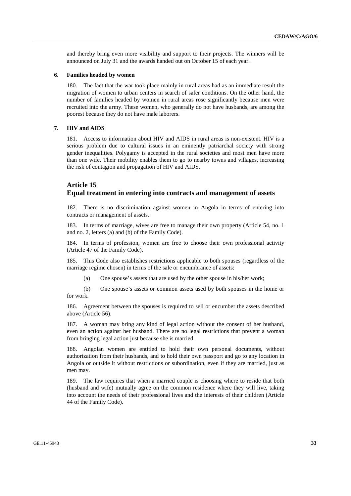and thereby bring even more visibility and support to their projects. The winners will be announced on July 31 and the awards handed out on October 15 of each year.

#### **6. Families headed by women**

180. The fact that the war took place mainly in rural areas had as an immediate result the migration of women to urban centers in search of safer conditions. On the other hand, the number of families headed by women in rural areas rose significantly because men were recruited into the army. These women, who generally do not have husbands, are among the poorest because they do not have male laborers.

#### **7. HIV and AIDS**

181. Access to information about HIV and AIDS in rural areas is non-existent. HIV is a serious problem due to cultural issues in an eminently patriarchal society with strong gender inequalities. Polygamy is accepted in the rural societies and most men have more than one wife. Their mobility enables them to go to nearby towns and villages, increasing the risk of contagion and propagation of HIV and AIDS.

## **Article 15 Equal treatment in entering into contracts and management of assets**

182. There is no discrimination against women in Angola in terms of entering into contracts or management of assets.

183. In terms of marriage, wives are free to manage their own property (Article 54, no. 1 and no. 2, letters (a) and (b) of the Family Code).

184. In terms of profession, women are free to choose their own professional activity (Article 47 of the Family Code).

185. This Code also establishes restrictions applicable to both spouses (regardless of the marriage regime chosen) in terms of the sale or encumbrance of assets:

(a) One spouse's assets that are used by the other spouse in his/her work;

 (b) One spouse's assets or common assets used by both spouses in the home or for work.

186. Agreement between the spouses is required to sell or encumber the assets described above (Article 56).

187. A woman may bring any kind of legal action without the consent of her husband, even an action against her husband. There are no legal restrictions that prevent a woman from bringing legal action just because she is married.

188. Angolan women are entitled to hold their own personal documents, without authorization from their husbands, and to hold their own passport and go to any location in Angola or outside it without restrictions or subordination, even if they are married, just as men may.

189. The law requires that when a married couple is choosing where to reside that both (husband and wife) mutually agree on the common residence where they will live, taking into account the needs of their professional lives and the interests of their children (Article 44 of the Family Code).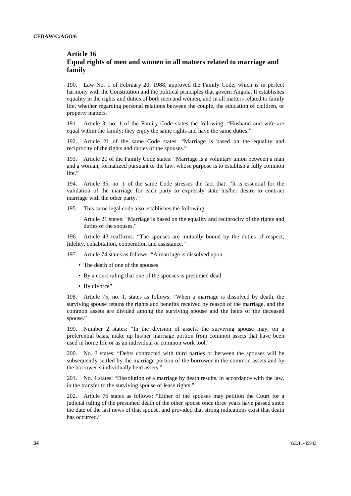## **Article 16 Equal rights of men and women in all matters related to marriage and family**

190. Law No. 1 of February 20, 1988, approved the Family Code, which is in perfect harmony with the Constitution and the political principles that govern Angola. It establishes equality in the rights and duties of both men and women, and in all matters related to family life, whether regarding personal relations between the couple, the education of children, or property matters.

191. Article 3, no. 1 of the Family Code states the following: "Husband and wife are equal within the family; they enjoy the same rights and have the same duties."

192. Article 21 of the same Code states: "Marriage is based on the equality and reciprocity of the rights and duties of the spouses."

193. Article 20 of the Family Code states: "Marriage is a voluntary union between a man and a woman, formalized pursuant to the law, whose purpose is to establish a fully common life."

194. Article 35, no. 1 of the same Code stresses the fact that: "It is essential for the validation of the marriage for each party to expressly state his/her desire to contract marriage with the other party."

195. This same legal code also establishes the following:

Article 21 states: "Marriage is based on the equality and reciprocity of the rights and duties of the spouses."

196. Article 43 reaffirms: "The spouses are mutually bound by the duties of respect, fidelity, cohabitation, cooperation and assistance."

197. Article 74 states as follows: "A marriage is dissolved upon:

- Τhe death of one of the spouses
- By a court ruling that one of the spouses is presumed dead
- By divorce"

198. Article 75, no. 1, states as follows: "When a marriage is dissolved by death, the surviving spouse retains the rights and benefits received by reason of the marriage, and the common assets are divided among the surviving spouse and the heirs of the deceased spouse."

199. Number 2 states: "In the division of assets, the surviving spouse may, on a preferential basis, make up his/her marriage portion from common assets that have been used in home life or as an individual or common work tool."

200. No. 3 states: "Debts contracted with third parties or between the spouses will be subsequently settled by the marriage portion of the borrower in the common assets and by the borrower's individually held assets."

201. No. 4 states: "Dissolution of a marriage by death results, in accordance with the law, in the transfer to the surviving spouse of lease rights."

202. Article 76 states as follows: "Either of the spouses may petition the Court for a judicial ruling of the presumed death of the other spouse once three years have passed since the date of the last news of that spouse, and provided that strong indications exist that death has occurred."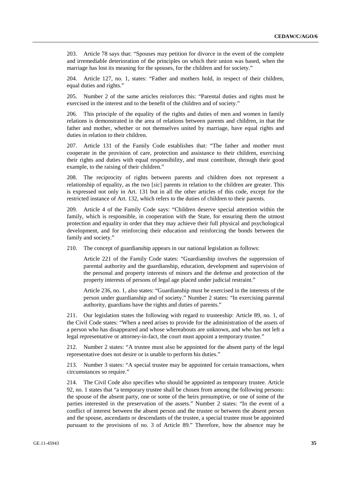203. Article 78 says that: "Spouses may petition for divorce in the event of the complete and irremediable deterioration of the principles on which their union was based, when the marriage has lost its meaning for the spouses, for the children and for society."

204. Article 127, no. 1, states: "Father and mothers hold, in respect of their children, equal duties and rights."

205. Number 2 of the same articles reinforces this: "Parental duties and rights must be exercised in the interest and to the benefit of the children and of society."

206. This principle of the equality of the rights and duties of men and women in family relations is demonstrated in the area of relations between parents and children, in that the father and mother, whether or not themselves united by marriage, have equal rights and duties in relation to their children.

207. Article 131 of the Family Code establishes that: "The father and mother must cooperate in the provision of care, protection and assistance to their children, exercising their rights and duties with equal responsibility, and must contribute, through their good example, to the raising of their children."

208. The reciprocity of rights between parents and children does not represent a relationship of equality, as the two [*sic*] parents in relation to the children are greater. This is expressed not only in Art. 131 but in all the other articles of this code, except for the restricted instance of Art. 132, which refers to the duties of children to their parents.

209. Article 4 of the Family Code says: "Children deserve special attention within the family, which is responsible, in cooperation with the State, for ensuring them the utmost protection and equality in order that they may achieve their full physical and psychological development, and for reinforcing their education and reinforcing the bonds between the family and society."

210. The concept of guardianship appears in our national legislation as follows:

Article 221 of the Family Code states: "Guardianship involves the suppression of parental authority and the guardianship, education, development and supervision of the personal and property interests of minors and the defense and protection of the property interests of persons of legal age placed under judicial restraint."

Article 236, no. 1, also states: "Guardianship must be exercised in the interests of the person under guardianship and of society." Number 2 states: "In exercising parental authority, guardians have the rights and duties of parents."

211. Our legislation states the following with regard to trusteeship: Article 89, no. 1, of the Civil Code states: "When a need arises to provide for the administration of the assets of a person who has disappeared and whose whereabouts are unknown, and who has not left a legal representative or attorney-in-fact, the court must appoint a temporary trustee."

212. Number 2 states: "A trustee must also be appointed for the absent party of the legal representative does not desire or is unable to perform his duties."

213. Number 3 states: "A special trustee may be appointed for certain transactions, when circumstances so require."

214. The Civil Code also specifies who should be appointed as temporary trustee. Article 92, no. 1 states that "a temporary trustee shall be chosen from among the following persons: the spouse of the absent party, one or some of the heirs presumptive, or one of some of the parties interested in the preservation of the assets." Number 2 states: "In the event of a conflict of interest between the absent person and the trustee or between the absent person and the spouse, ascendants or descendants of the trustee, a special trustee must be appointed pursuant to the provisions of no. 3 of Article 89." Therefore, how the absence may be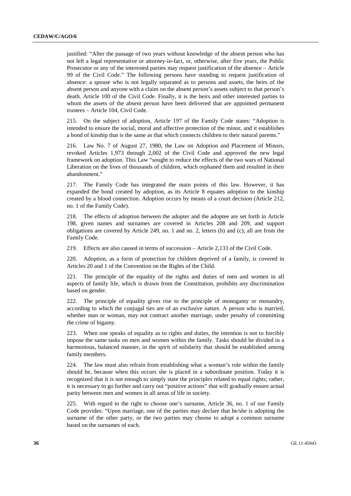justified: "After the passage of two years without knowledge of the absent person who has not left a legal representative or attorney-in-fact, or, otherwise, after five years, the Public Prosecutor or any of the interested parties may request justification of the absence – Article 99 of the Civil Code." The following persons have standing to request justification of absence: a spouse who is not legally separated as to persons and assets, the heirs of the absent person and anyone with a claim on the absent person's assets subject to that person's death. Article 100 of the Civil Code. Finally, it is the heirs and other interested parties to whom the assets of the absent person have been delivered that are appointed permanent trustees – Article 104, Civil Code.

215. On the subject of adoption, Article 197 of the Family Code states: "Adoption is intended to ensure the social, moral and affective protection of the minor, and it establishes a bond of kinship that is the same as that which connects children to their natural parents."

216. Law No. 7 of August 27, 1980, the Law on Adoption and Placement of Minors, revoked Articles 1,973 through 2,002 of the Civil Code and approved the new legal framework on adoption. This Law "sought to reduce the effects of the two wars of National Liberation on the lives of thousands of children, which orphaned them and resulted in their abandonment."

217. The Family Code has integrated the main points of this law. However, it has expanded the bond created by adoption, as its Article 8 equates adoption to the kinship created by a blood connection. Adoption occurs by means of a court decision (Article 212, no. 1 of the Family Code).

218. The effects of adoption between the adopter and the adoptee are set forth in Article 198, given names and surnames are covered in Articles 208 and 209, and support obligations are covered by Article 249, no. 1 and no. 2, letters (b) and (c); all are from the Family Code.

219. Effects are also caused in terms of succession – Article 2,133 of the Civil Code.

220. Adoption, as a form of protection for children deprived of a family, is covered in Articles 20 and 1 of the Convention on the Rights of the Child.

221. The principle of the equality of the rights and duties of men and women in all aspects of family life, which is drawn from the Constitution, prohibits any discrimination based on gender.

222. The principle of equality gives rise to the principle of monogamy or monandry, according to which the conjugal ties are of an exclusive nature. A person who is married, whether man or woman, may not contract another marriage, under penalty of committing the crime of bigamy.

223. When one speaks of equality as to rights and duties, the intention is not to forcibly impose the same tasks on men and women within the family. Tasks should be divided in a harmonious, balanced manner, in the spirit of solidarity that should be established among family members.

224. The law must also refrain from establishing what a woman's role within the family should be, because when this occurs she is placed in a subordinate position. Today it is recognized that it is not enough to simply state the principles related to equal rights; rather, it is necessary to go further and carry out "positive actions" that will gradually ensure actual parity between men and women in all areas of life in society.

225. With regard to the right to choose one's surname, Article 36, no. 1 of our Family Code provides: "Upon marriage, one of the parties may declare that he/she is adopting the surname of the other party, or the two parties may choose to adopt a common surname based on the surnames of each.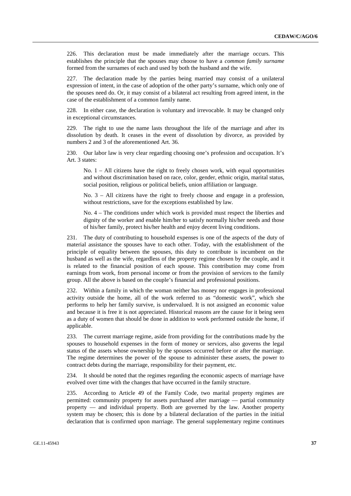226. This declaration must be made immediately after the marriage occurs. This establishes the principle that the spouses may choose to have a *common family surname* formed from the surnames of each and used by both the husband and the wife.

227. The declaration made by the parties being married may consist of a unilateral expression of intent, in the case of adoption of the other party's surname, which only one of the spouses need do. Or, it may consist of a bilateral act resulting from agreed intent, in the case of the establishment of a common family name.

228. In either case, the declaration is voluntary and irrevocable. It may be changed only in exceptional circumstances.

229. The right to use the name lasts throughout the life of the marriage and after its dissolution by death. It ceases in the event of dissolution by divorce, as provided by numbers 2 and 3 of the aforementioned Art. 36.

230. Our labor law is very clear regarding choosing one's profession and occupation. It's Art. 3 states:

No. 1 – All citizens have the right to freely chosen work, with equal opportunities and without discrimination based on race, color, gender, ethnic origin, marital status, social position, religious or political beliefs, union affiliation or language.

No. 3 – All citizens have the right to freely choose and engage in a profession, without restrictions, save for the exceptions established by law.

No. 4 – The conditions under which work is provided must respect the liberties and dignity of the worker and enable him/her to satisfy normally his/her needs and those of his/her family, protect his/her health and enjoy decent living conditions.

231. The duty of contributing to household expenses is one of the aspects of the duty of material assistance the spouses have to each other. Today, with the establishment of the principle of equality between the spouses, this duty to contribute is incumbent on the husband as well as the wife, regardless of the property regime chosen by the couple, and it is related to the financial position of each spouse. This contribution may come from earnings from work, from personal income or from the provision of services to the family group. All the above is based on the couple's financial and professional positions.

232. Within a family in which the woman neither has money nor engages in professional activity outside the home, all of the work referred to as "domestic work", which she performs to help her family survive, is undervalued. It is not assigned an economic value and because it is free it is not appreciated. Historical reasons are the cause for it being seen as a duty of women that should be done in addition to work performed outside the home, if applicable.

233. The current marriage regime, aside from providing for the contributions made by the spouses to household expenses in the form of money or services, also governs the legal status of the assets whose ownership by the spouses occurred before or after the marriage. The regime determines the power of the spouse to administer these assets, the power to contract debts during the marriage, responsibility for their payment, etc.

234. It should be noted that the regimes regarding the economic aspects of marriage have evolved over time with the changes that have occurred in the family structure.

235. According to Article 49 of the Family Code, two marital property regimes are permitted: community property for assets purchased after marriage — partial community property — and individual property. Both are governed by the law. Another property system may be chosen; this is done by a bilateral declaration of the parties in the initial declaration that is confirmed upon marriage. The general supplementary regime continues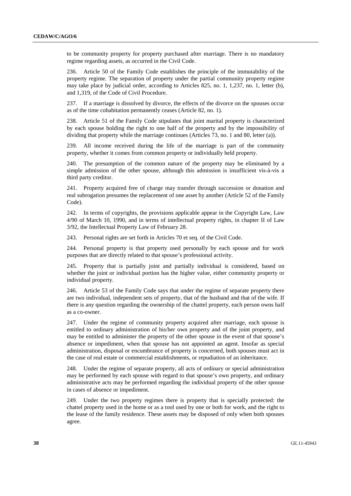to be community property for property purchased after marriage. There is no mandatory regime regarding assets, as occurred in the Civil Code.

236. Article 50 of the Family Code establishes the principle of the immutability of the property regime. The separation of property under the partial community property regime may take place by judicial order, according to Articles 825, no. 1, 1,237, no. 1, letter (b), and 1,319, of the Code of Civil Procedure.

237. If a marriage is dissolved by divorce, the effects of the divorce on the spouses occur as of the time cohabitation permanently ceases (Article 82, no. 1).

238. Article 51 of the Family Code stipulates that joint marital property is characterized by each spouse holding the right to one half of the property and by the impossibility of dividing that property while the marriage continues (Articles 73, no. 1 and 80, letter (a)).

239. All income received during the life of the marriage is part of the community property, whether it comes from common property or individually held property.

240. The presumption of the common nature of the property may be eliminated by a simple admission of the other spouse, although this admission is insufficient vis-à-vis a third party creditor.

241. Property acquired free of charge may transfer through succession or donation and real subrogation presumes the replacement of one asset by another (Article 52 of the Family Code).

242. In terms of copyrights, the provisions applicable appear in the Copyright Law, Law 4/90 of March 10, 1990, and in terms of intellectual property rights, in chapter II of Law 3/92, the Intellectual Property Law of February 28.

243. Personal rights are set forth in Articles 70 et seq. of the Civil Code.

244. Personal property is that property used personally by each spouse and for work purposes that are directly related to that spouse's professional activity.

245. Property that is partially joint and partially individual is considered, based on whether the joint or individual portion has the higher value, either community property or individual property.

246. Article 53 of the Family Code says that under the regime of separate property there are two individual, independent sets of property, that of the husband and that of the wife. If there is any question regarding the ownership of the chattel property, each person owns half as a co-owner.

247. Under the regime of community property acquired after marriage, each spouse is entitled to ordinary administration of his/her own property and of the joint property, and may be entitled to administer the property of the other spouse in the event of that spouse's absence or impediment, when that spouse has not appointed an agent. Insofar as special administration, disposal or encumbrance of property is concerned, both spouses must act in the case of real estate or commercial establishments, or repudiation of an inheritance.

248. Under the regime of separate property, all acts of ordinary or special administration may be performed by each spouse with regard to that spouse's own property, and ordinary administrative acts may be performed regarding the individual property of the other spouse in cases of absence or impediment.

249. Under the two property regimes there is property that is specially protected: the chattel property used in the home or as a tool used by one or both for work, and the right to the lease of the family residence. These assets may be disposed of only when both spouses agree.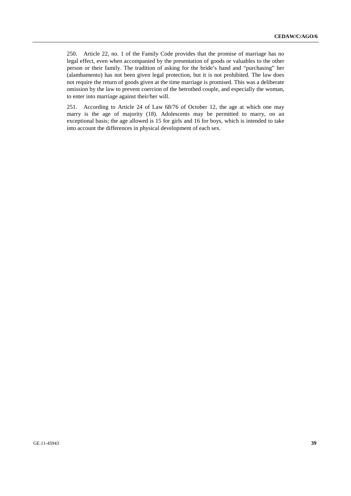250. Article 22, no. 1 of the Family Code provides that the promise of marriage has no legal effect, even when accompanied by the presentation of goods or valuables to the other person or their family. The tradition of asking for the bride's hand and "purchasing" her (alambamento) has not been given legal protection, but it is not prohibited. The law does not require the return of goods given at the time marriage is promised. This was a deliberate omission by the law to prevent coercion of the betrothed couple, and especially the woman, to enter into marriage against their/her will.

251. According to Article 24 of Law 68/76 of October 12, the age at which one may marry is the age of majority (18). Adolescents may be permitted to marry, on an exceptional basis; the age allowed is 15 for girls and 16 for boys, which is intended to take into account the differences in physical development of each sex.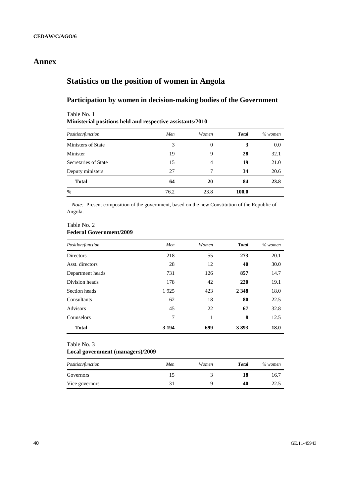## **Annex**

## **Statistics on the position of women in Angola**

## **Participation by women in decision-making bodies of the Government**

## **Ministerial positions held and respective assistants/2010**  *Position/function Men Women Total % women*  Ministers of State 3 0 3 0.0 Minister 19 9 **28** 32.1 Secretaries of State 15 15 4 19 21.0 Deputy ministers 27 7 **34** 20.6 **Total 64 20 84 23.8**  % 76.2 23.8 **100.0**

*Note:* Present composition of the government, based on the new Constitution of the Republic of Angola.

#### Table No. 2

Table No. 1

### **Federal Government/2009**

| Position/function | Men     | Women | <b>Total</b> | $%$ women |
|-------------------|---------|-------|--------------|-----------|
| <b>Directors</b>  | 218     | 55    | 273          | 20.1      |
| Asst. directors   | 28      | 12    | 40           | 30.0      |
| Department heads  | 731     | 126   | 857          | 14.7      |
| Division heads    | 178     | 42    | 220          | 19.1      |
| Section heads     | 1925    | 423   | 2 3 4 8      | 18.0      |
| Consultants       | 62      | 18    | 80           | 22.5      |
| <b>Advisors</b>   | 45      | 22    | 67           | 32.8      |
| Counselors        | 7       | 1     | 8            | 12.5      |
| <b>Total</b>      | 3 1 9 4 | 699   | 3893         | 18.0      |

### Table No. 3

#### **Local government (managers)/2009**

| <i>Position/function</i> | Men | Women | <b>Total</b> | % women |
|--------------------------|-----|-------|--------------|---------|
| Governors                | כ ו |       | 18           | 16.7    |
| Vice governors           |     |       | 40           | 22.5    |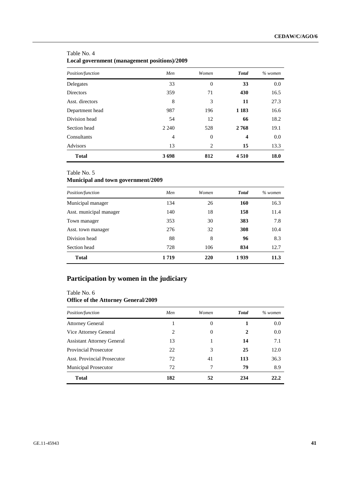### Table No. 4 **Local government (management positions)/2009**

| Position/function | Men     | Women          | <b>Total</b>            | $%$ women |
|-------------------|---------|----------------|-------------------------|-----------|
| Delegates         | 33      | $\overline{0}$ | 33                      | 0.0       |
| <b>Directors</b>  | 359     | 71             | 430                     | 16.5      |
| Asst. directors   | 8       | 3              | 11                      | 27.3      |
| Department head   | 987     | 196            | 1 1 8 3                 | 16.6      |
| Division head     | 54      | 12             | 66                      | 18.2      |
| Section head      | 2 2 4 0 | 528            | 2768                    | 19.1      |
| Consultants       | 4       | $\overline{0}$ | $\overline{\mathbf{4}}$ | 0.0       |
| Advisors          | 13      | 2              | 15                      | 13.3      |
| <b>Total</b>      | 3698    | 812            | 4510                    | 18.0      |

#### Table No. 5

## **Municipal and town government/2009**

| Position/function       | Men     | Women | <b>Total</b> | $%$ women |
|-------------------------|---------|-------|--------------|-----------|
| Municipal manager       | 134     | 26    | 160          | 16.3      |
| Asst. municipal manager | 140     | 18    | 158          | 11.4      |
| Town manager            | 353     | 30    | 383          | 7.8       |
| Asst. town manager      | 276     | 32    | 308          | 10.4      |
| Division head           | 88      | 8     | 96           | 8.3       |
| Section head            | 728     | 106   | 834          | 12.7      |
| <b>Total</b>            | 1 7 1 9 | 220   | 1939         | 11.3      |

## **Participation by women in the judiciary**

### Table No. 6 **Office of the Attorney General/2009**

| Position/function                 | Men | Women | <b>Total</b> | $%$ women |
|-----------------------------------|-----|-------|--------------|-----------|
| <b>Attorney General</b>           |     | 0     |              | 0.0       |
| Vice Attorney General             | 2   | 0     | 2            | 0.0       |
| <b>Assistant Attorney General</b> | 13  |       | 14           | 7.1       |
| <b>Provincial Prosecutor</b>      | 22  | 3     | 25           | 12.0      |
| Asst. Provincial Prosecutor       | 72  | 41    | 113          | 36.3      |
| <b>Municipal Prosecutor</b>       | 72  | 7     | 79           | 8.9       |
| <b>Total</b>                      | 182 | 52    | 234          | 22.2      |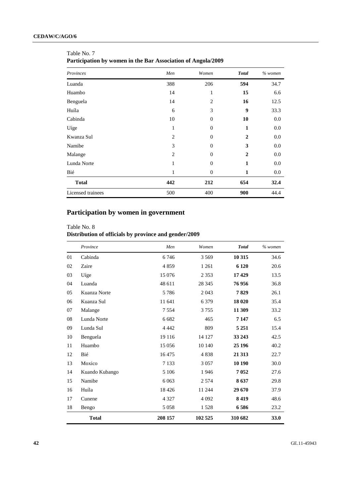| Provinces         | Men            | Women          | <b>Total</b>   | $%$ women |
|-------------------|----------------|----------------|----------------|-----------|
| Luanda            | 388            | 206            | 594            | 34.7      |
| Huambo            | 14             | 1              | 15             | 6.6       |
| Benguela          | 14             | $\overline{2}$ | 16             | 12.5      |
| Huíla             | 6              | 3              | 9              | 33.3      |
| Cabinda           | 10             | $\overline{0}$ | 10             | 0.0       |
| Uíge              | 1              | $\overline{0}$ | 1              | 0.0       |
| Kwanza Sul        | $\overline{2}$ | $\overline{0}$ | $\overline{2}$ | 0.0       |
| Namibe            | 3              | $\overline{0}$ | 3              | 0.0       |
| Malange           | $\overline{2}$ | $\Omega$       | $\overline{2}$ | 0.0       |
| Lunda Norte       | 1              | $\overline{0}$ | 1              | 0.0       |
| Bié               | 1              | $\overline{0}$ | 1              | 0.0       |
| <b>Total</b>      | 442            | 212            | 654            | 32.4      |
| Licensed trainees | 500            | 400            | 900            | 44.4      |

Table No. 7 **Participation by women in the Bar Association of Angola/2009** 

## **Participation by women in government**

#### Table No. 8

## **Distribution of officials by province and gender/2009**

|    | Province       | Men     | Women   | <b>Total</b> | $%$ women |
|----|----------------|---------|---------|--------------|-----------|
| 01 | Cabinda        | 6746    | 3 5 6 9 | 10 315       | 34.6      |
| 02 | Zaire          | 4859    | 1 2 6 1 | 6 1 20       | 20.6      |
| 03 | Uíge           | 15 0 76 | 2 3 5 3 | 17429        | 13.5      |
| 04 | Luanda         | 48 611  | 28 3 45 | 76956        | 36.8      |
| 05 | Kuanza Norte   | 5786    | 2 0 4 3 | 7829         | 26.1      |
| 06 | Kuanza Sul     | 11 641  | 6 3 7 9 | 18 0 20      | 35.4      |
| 07 | Malange        | 7 5 5 4 | 3755    | 11 309       | 33.2      |
| 08 | Lunda Norte    | 6 6 8 2 | 465     | 7 1 4 7      | 6.5       |
| 09 | Lunda Sul      | 4 4 4 2 | 809     | 5 2 5 1      | 15.4      |
| 10 | Benguela       | 19 116  | 14 127  | 33 243       | 42.5      |
| 11 | Huambo         | 15 0 56 | 10 140  | 25 196       | 40.2      |
| 12 | Bié            | 16475   | 4838    | 21 3 13      | 22.7      |
| 13 | Moxico         | 7 1 3 3 | 3 0 5 7 | 10 190       | 30.0      |
| 14 | Kuando Kubango | 5 10 6  | 1946    | 7052         | 27.6      |
| 15 | Namibe         | 6 0 63  | 2 5 7 4 | 8637         | 29.8      |
| 16 | Huíla          | 18 4 26 | 11 244  | 29 670       | 37.9      |
| 17 | Cunene         | 4 3 2 7 | 4 0 9 2 | 8419         | 48.6      |
| 18 | Bengo          | 5 0 5 8 | 1528    | 6586         | 23.2      |
|    | <b>Total</b>   | 208 157 | 102 525 | 310 682      | 33.0      |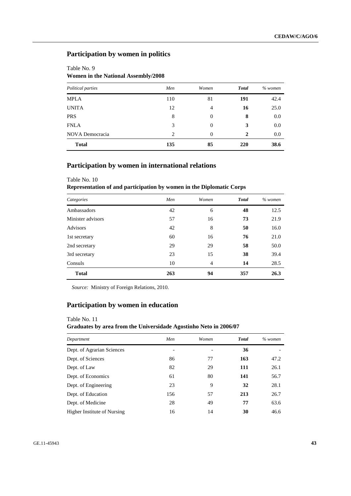## **Participation by women in politics**

## Table No. 9 **Women in the National Assembly/2008**

Table No. 10

| Political parties | Men | Women          | <b>Total</b> | $%$ women |
|-------------------|-----|----------------|--------------|-----------|
| <b>MPLA</b>       | 110 | 81             | 191          | 42.4      |
| <b>UNITA</b>      | 12  | $\overline{4}$ | 16           | 25.0      |
| <b>PRS</b>        | 8   | $\overline{0}$ | 8            | 0.0       |
| <b>FNLA</b>       | 3   | $\overline{0}$ | 3            | 0.0       |
| NOVA Democracia   | 2   | $\overline{0}$ | 2            | 0.0       |
| <b>Total</b>      | 135 | 85             | 220          | 38.6      |

## **Participation by women in international relations**

## **Representation of and participation by women in the Diplomatic Corps**  *Categories Men Women Total % women*  Ambassadors **42** 6 **48 42** 6 **48 42** 12.5 Minister advisors 57 16 **73** 21.9 Advisors **42** 8 50 16.0 1st secretary 60 16 76 21.0 2nd secretary 29 29 **58** 50.0 3rd secretary 23 15 **38** 39.4 Consuls 10 4 **14** 28.5 **Total 263 94 357 26.3**

*Source:* Ministry of Foreign Relations, 2010.

### **Participation by women in education**

## Table No. 11 **Graduates by area from the Universidade Agostinho Neto in 2006/07**

| Department                  | Men | Women | <b>Total</b> | $%$ women |
|-----------------------------|-----|-------|--------------|-----------|
| Dept. of Agrarian Sciences  |     |       | 36           |           |
| Dept. of Sciences           | 86  | 77    | 163          | 47.2      |
| Dept. of Law                | 82  | 29    | 111          | 26.1      |
| Dept. of Economics          | 61  | 80    | 141          | 56.7      |
| Dept. of Engineering        | 23  | 9     | 32           | 28.1      |
| Dept. of Education          | 156 | 57    | 213          | 26.7      |
| Dept. of Medicine           | 28  | 49    | 77           | 63.6      |
| Higher Institute of Nursing | 16  | 14    | 30           | 46.6      |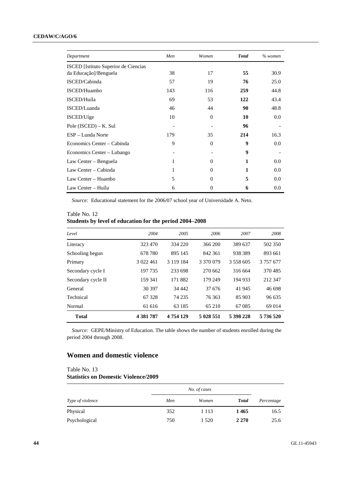#### **CEDAW/C/AGO/6**

| Department                           | Men | Women    | <b>Total</b>     | $%$ women |
|--------------------------------------|-----|----------|------------------|-----------|
| ISCED [Istituto Superior de Ciencias |     |          |                  |           |
| da Educação]/Benguela                | 38  | 17       | 55               | 30.9      |
| ISCED/Cabinda                        | 57  | 19       | 76               | 25.0      |
| ISCED/Huambo                         | 143 | 116      | 259              | 44.8      |
| ISCED/Huíla                          | 69  | 53       | 122              | 43.4      |
| ISCED/Luanda                         | 46  | 44       | 90               | 48.8      |
| ISCED/Uíge                           | 10  | $\Omega$ | 10               | 0.0       |
| Pole $(ISCED) - K. Sul$              |     |          | 96               |           |
| ESP – Lunda Norte                    | 179 | 35       | 214              | 16.3      |
| Economics Center – Cabinda           | 9   | $\Omega$ | 9                | 0.0       |
| Economics Center – Lubango           |     |          | $\boldsymbol{9}$ |           |
| Law Center – Benguela                | 1   | $\Omega$ | 1                | 0.0       |
| Law Center – Cabinda                 | 1   | $\Omega$ | 1                | 0.0       |
| Law Center - Huambo                  | 5   | $\Omega$ | 5                | 0.0       |
| Law Center – Huíla                   | 6   | $\Omega$ | 6                | 0.0       |

*Source:* Educational statement for the 2006/07 school year of Universidade A. Neto.

### Table No. 12 **Students by level of education for the period 2004–2008**

| Level              | 2004          | 2005      | 2006      | 2007      | 2008      |
|--------------------|---------------|-----------|-----------|-----------|-----------|
| Literacy           | 323 470       | 334 220   | 366 200   | 389 637   | 502 350   |
| Schooling begun    | 678 780       | 895 145   | 842 361   | 938 389   | 893 661   |
| Primary            | 3 022 461     | 3 119 184 | 3 370 079 | 3 558 605 | 3 757 677 |
| Secondary cycle I  | 197 735       | 233 698   | 270 662   | 316 664   | 370485    |
| Secondary cycle II | 159 341       | 171882    | 179 249   | 194 933   | 212 347   |
| General            | 30 397        | 34 442    | 37 676    | 41 945    | 46 698    |
| Technical          | 67 328        | 74 235    | 76 363    | 85 903    | 96 635    |
| Normal             | 61 616        | 63 185    | 65 210    | 67085     | 69 014    |
| <b>Total</b>       | 4 3 8 1 7 8 7 | 4 754 129 | 5 028 551 | 5 398 228 | 5 736 520 |

*Source:* GEPE/Ministry of Education. The table shows the number of students enrolled during the period 2004 through 2008.

## **Women and domestic violence**

## Table No. 13 **Statistics on Domestic Violence/2009**

|                  | No. of cases |         |              |            |  |
|------------------|--------------|---------|--------------|------------|--|
| Type of violence | Men          | Women   | <b>Total</b> | Percentage |  |
| Physical         | 352          | 1 1 1 3 | 1465         | 16.5       |  |
| Psychological    | 750          | 1 5 2 0 | 2 2 7 0      | 25.6       |  |